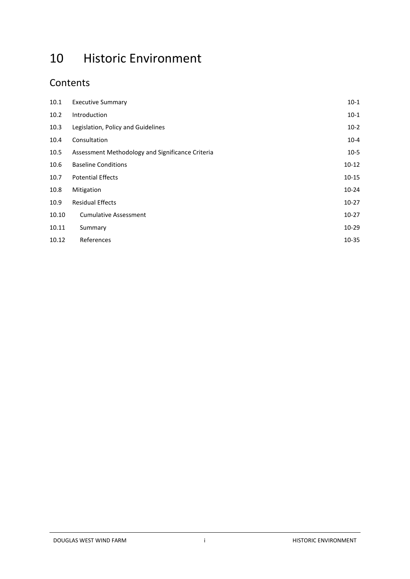# 10 Historic Environment

# **Contents**

| 10.1  | <b>Executive Summary</b>                         | $10-1$    |
|-------|--------------------------------------------------|-----------|
| 10.2  | Introduction                                     | $10-1$    |
| 10.3  | Legislation, Policy and Guidelines               | $10-2$    |
| 10.4  | Consultation                                     | $10 - 4$  |
| 10.5  | Assessment Methodology and Significance Criteria | $10-5$    |
| 10.6  | <b>Baseline Conditions</b>                       | $10-12$   |
| 10.7  | <b>Potential Effects</b>                         | $10 - 15$ |
| 10.8  | Mitigation                                       | $10 - 24$ |
| 10.9  | <b>Residual Effects</b>                          | $10 - 27$ |
| 10.10 | <b>Cumulative Assessment</b>                     | $10 - 27$ |
| 10.11 | Summary                                          | $10 - 29$ |
| 10.12 | References                                       | 10-35     |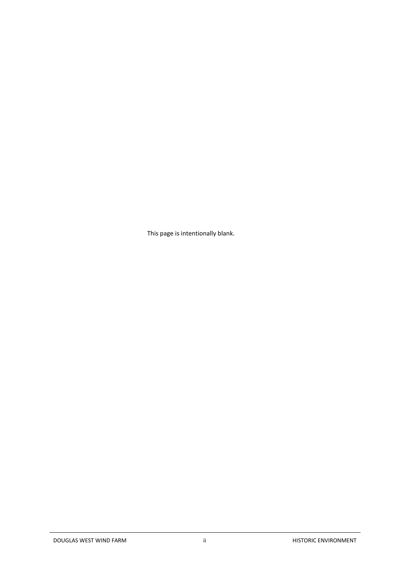This page is intentionally blank.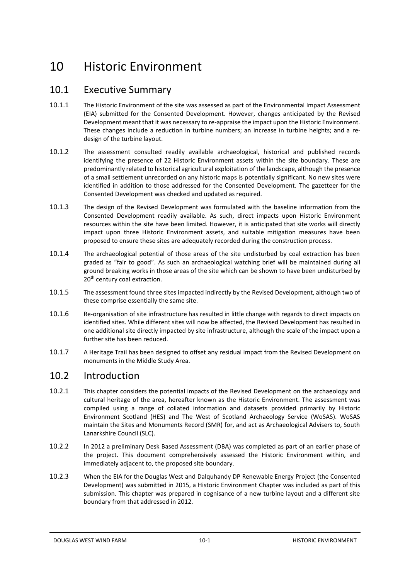# 10 Historic Environment

## <span id="page-2-0"></span>10.1 Executive Summary

- 10.1.1 The Historic Environment of the site was assessed as part of the Environmental Impact Assessment (EIA) submitted for the Consented Development. However, changes anticipated by the Revised Development meant that it was necessary to re-appraise the impact upon the Historic Environment. These changes include a reduction in turbine numbers; an increase in turbine heights; and a redesign of the turbine layout.
- 10.1.2 The assessment consulted readily available archaeological, historical and published records identifying the presence of 22 Historic Environment assets within the site boundary. These are predominantly related to historical agricultural exploitation of the landscape, although the presence of a small settlement unrecorded on any historic maps is potentially significant. No new sites were identified in addition to those addressed for the Consented Development. The gazetteer for the Consented Development was checked and updated as required.
- 10.1.3 The design of the Revised Development was formulated with the baseline information from the Consented Development readily available. As such, direct impacts upon Historic Environment resources within the site have been limited. However, it is anticipated that site works will directly impact upon three Historic Environment assets, and suitable mitigation measures have been proposed to ensure these sites are adequately recorded during the construction process.
- 10.1.4 The archaeological potential of those areas of the site undisturbed by coal extraction has been graded as "fair to good". As such an archaeological watching brief will be maintained during all ground breaking works in those areas of the site which can be shown to have been undisturbed by 20<sup>th</sup> century coal extraction.
- 10.1.5 The assessment found three sites impacted indirectly by the Revised Development, although two of these comprise essentially the same site.
- 10.1.6 Re-organisation of site infrastructure has resulted in little change with regards to direct impacts on identified sites. While different sites will now be affected, the Revised Development has resulted in one additional site directly impacted by site infrastructure, although the scale of the impact upon a further site has been reduced.
- 10.1.7 A Heritage Trail has been designed to offset any residual impact from the Revised Development on monuments in the Middle Study Area.

### <span id="page-2-1"></span>10.2 Introduction

- 10.2.1 This chapter considers the potential impacts of the Revised Development on the archaeology and cultural heritage of the area, hereafter known as the Historic Environment. The assessment was compiled using a range of collated information and datasets provided primarily by Historic Environment Scotland (HES) and The West of Scotland Archaeology Service (WoSAS). WoSAS maintain the Sites and Monuments Record (SMR) for, and act as Archaeological Advisers to, South Lanarkshire Council (SLC).
- 10.2.2 In 2012 a preliminary Desk Based Assessment (DBA) was completed as part of an earlier phase of the project. This document comprehensively assessed the Historic Environment within, and immediately adjacent to, the proposed site boundary.
- 10.2.3 When the EIA for the Douglas West and Dalquhandy DP Renewable Energy Project (the Consented Development) was submitted in 2015, a Historic Environment Chapter was included as part of this submission. This chapter was prepared in cognisance of a new turbine layout and a different site boundary from that addressed in 2012.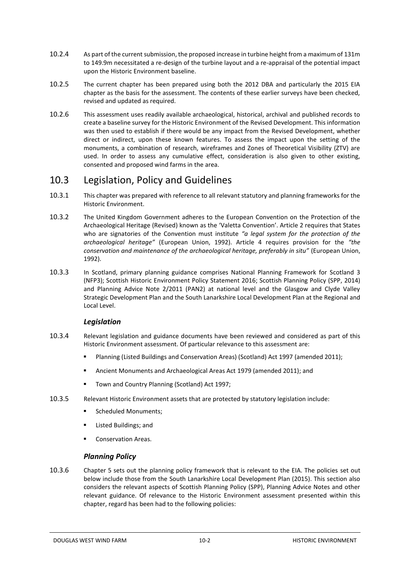- 10.2.4 As part of the current submission, the proposed increase in turbine height from a maximum of 131m to 149.9m necessitated a re-design of the turbine layout and a re-appraisal of the potential impact upon the Historic Environment baseline.
- 10.2.5 The current chapter has been prepared using both the 2012 DBA and particularly the 2015 EIA chapter as the basis for the assessment. The contents of these earlier surveys have been checked, revised and updated as required.
- 10.2.6 This assessment uses readily available archaeological, historical, archival and published records to create a baseline survey for the Historic Environment of the Revised Development. This information was then used to establish if there would be any impact from the Revised Development, whether direct or indirect, upon these known features. To assess the impact upon the setting of the monuments, a combination of research, wireframes and Zones of Theoretical Visibility (ZTV) are used. In order to assess any cumulative effect, consideration is also given to other existing, consented and proposed wind farms in the area.

### <span id="page-3-0"></span>10.3 Legislation, Policy and Guidelines

- 10.3.1 This chapter was prepared with reference to all relevant statutory and planning frameworks for the Historic Environment.
- 10.3.2 The United Kingdom Government adheres to the European Convention on the Protection of the Archaeological Heritage (Revised) known as the 'Valetta Convention'. Article 2 requires that States who are signatories of the Convention must institute *"a legal system for the protection of the archaeological heritage"* (European Union, 1992). Article 4 requires provision for the *"the conservation and maintenance of the archaeological heritage, preferably in situ"* (European Union, 1992).
- 10.3.3 In Scotland, primary planning guidance comprises National Planning Framework for Scotland 3 (NFP3); Scottish Historic Environment Policy Statement 2016; Scottish Planning Policy (SPP, 2014) and Planning Advice Note 2/2011 (PAN2) at national level and the Glasgow and Clyde Valley Strategic Development Plan and the South Lanarkshire Local Development Plan at the Regional and Local Level.

### *Legislation*

- 10.3.4 Relevant legislation and guidance documents have been reviewed and considered as part of this Historic Environment assessment. Of particular relevance to this assessment are:
	- Planning (Listed Buildings and Conservation Areas) (Scotland) Act 1997 (amended 2011);
	- Ancient Monuments and Archaeological Areas Act 1979 (amended 2011); and
	- Town and Country Planning (Scotland) Act 1997;
- 10.3.5 Relevant Historic Environment assets that are protected by statutory legislation include:
	- **Scheduled Monuments:**
	- Listed Buildings; and
	- **Conservation Areas.**

### *Planning Policy*

10.3.6 Chapter 5 sets out the planning policy framework that is relevant to the EIA. The policies set out below include those from the South Lanarkshire Local Development Plan (2015). This section also considers the relevant aspects of Scottish Planning Policy (SPP), Planning Advice Notes and other relevant guidance. Of relevance to the Historic Environment assessment presented within this chapter, regard has been had to the following policies: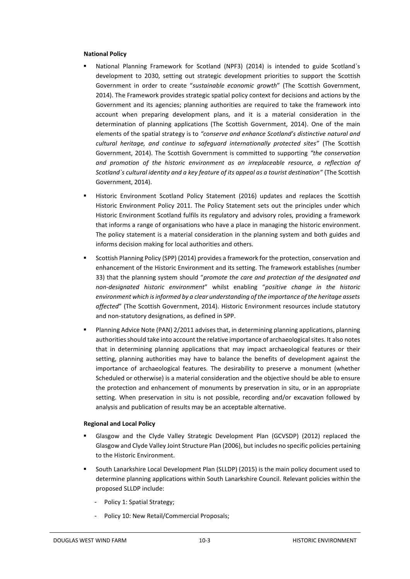#### **National Policy**

- National Planning Framework for Scotland (NPF3) (2014) is intended to guide Scotland`s development to 2030, setting out strategic development priorities to support the Scottish Government in order to create "*sustainable economic growth*" (The Scottish Government, 2014). The Framework provides strategic spatial policy context for decisions and actions by the Government and its agencies; planning authorities are required to take the framework into account when preparing development plans, and it is a material consideration in the determination of planning applications (The Scottish Government, 2014). One of the main elements of the spatial strategy is to *"conserve and enhance Scotland's distinctive natural and cultural heritage, and continue to safeguard internationally protected sites"* (The Scottish Government, 2014). The Scottish Government is committed to supporting *"the conservation and promotion of the historic environment as an irreplaceable resource, a reflection of Scotland`s cultural identity and a key feature of its appeal as a tourist destination"* (The Scottish Government, 2014).
- Historic Environment Scotland Policy Statement (2016) updates and replaces the Scottish Historic Environment Policy 2011. The Policy Statement sets out the principles under which Historic Environment Scotland fulfils its regulatory and advisory roles, providing a framework that informs a range of organisations who have a place in managing the historic environment. The policy statement is a material consideration in the planning system and both guides and informs decision making for local authorities and others.
- Scottish Planning Policy (SPP) (2014) provides a framework for the protection, conservation and enhancement of the Historic Environment and its setting. The framework establishes (number 33) that the planning system should "*promote the care and protection of the designated and non-designated historic environment*" whilst enabling "*positive change in the historic environment which is informed by a clear understanding of the importance of the heritage assets affected*" (The Scottish Government, 2014). Historic Environment resources include statutory and non-statutory designations, as defined in SPP.
- Planning Advice Note (PAN) 2/2011 advises that, in determining planning applications, planning authorities should take into account the relative importance of archaeological sites. It also notes that in determining planning applications that may impact archaeological features or their setting, planning authorities may have to balance the benefits of development against the importance of archaeological features. The desirability to preserve a monument (whether Scheduled or otherwise) is a material consideration and the objective should be able to ensure the protection and enhancement of monuments by preservation in situ, or in an appropriate setting. When preservation in situ is not possible, recording and/or excavation followed by analysis and publication of results may be an acceptable alternative.

### **Regional and Local Policy**

- Glasgow and the Clyde Valley Strategic Development Plan (GCVSDP) (2012) replaced the Glasgow and Clyde Valley Joint Structure Plan (2006), but includes no specific policies pertaining to the Historic Environment.
- South Lanarkshire Local Development Plan (SLLDP) (2015) is the main policy document used to determine planning applications within South Lanarkshire Council. Relevant policies within the proposed SLLDP include:
	- Policy 1: Spatial Strategy;
	- Policy 10: New Retail/Commercial Proposals;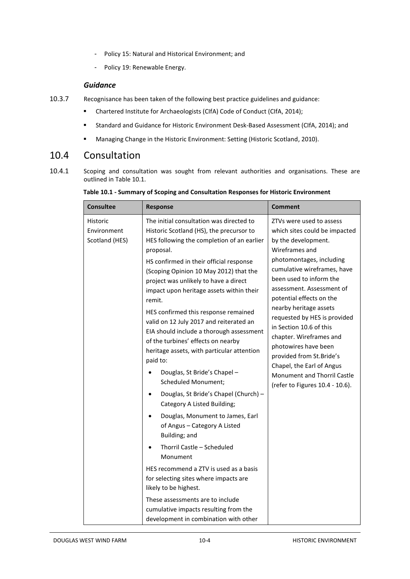- Policy 15: Natural and Historical Environment; and
- Policy 19: Renewable Energy.

### *Guidance*

- 10.3.7 Recognisance has been taken of the following best practice guidelines and guidance:
	- Chartered Institute for Archaeologists (CIfA) Code of Conduct (CIfA, 2014);
	- Standard and Guidance for Historic Environment Desk-Based Assessment (CIfA, 2014); and
	- **Managing Change in the Historic Environment: Setting (Historic Scotland, 2010).**

### <span id="page-5-0"></span>10.4 Consultation

10.4.1 Scoping and consultation was sought from relevant authorities and organisations. These are outlined in Table 10.1.

| <b>Consultee</b>                                 | <b>Response</b>                                                                                                                                                                                                                                                                                                                                                                                                                                                                                                                                                                                                                                                                                                                                                                                                                                                                                                                                                                                                                                                           | <b>Comment</b>                                                                                                                                                                                                                                                                                                                                                                                                                                                                                                       |
|--------------------------------------------------|---------------------------------------------------------------------------------------------------------------------------------------------------------------------------------------------------------------------------------------------------------------------------------------------------------------------------------------------------------------------------------------------------------------------------------------------------------------------------------------------------------------------------------------------------------------------------------------------------------------------------------------------------------------------------------------------------------------------------------------------------------------------------------------------------------------------------------------------------------------------------------------------------------------------------------------------------------------------------------------------------------------------------------------------------------------------------|----------------------------------------------------------------------------------------------------------------------------------------------------------------------------------------------------------------------------------------------------------------------------------------------------------------------------------------------------------------------------------------------------------------------------------------------------------------------------------------------------------------------|
| <b>Historic</b><br>Environment<br>Scotland (HES) | The initial consultation was directed to<br>Historic Scotland (HS), the precursor to<br>HES following the completion of an earlier<br>proposal.<br>HS confirmed in their official response<br>(Scoping Opinion 10 May 2012) that the<br>project was unlikely to have a direct<br>impact upon heritage assets within their<br>remit.<br>HES confirmed this response remained<br>valid on 12 July 2017 and reiterated an<br>EIA should include a thorough assessment<br>of the turbines' effects on nearby<br>heritage assets, with particular attention<br>paid to:<br>Douglas, St Bride's Chapel -<br><b>Scheduled Monument;</b><br>Douglas, St Bride's Chapel (Church) -<br>Category A Listed Building;<br>Douglas, Monument to James, Earl<br>of Angus - Category A Listed<br>Building; and<br>Thorril Castle - Scheduled<br>Monument<br>HES recommend a ZTV is used as a basis<br>for selecting sites where impacts are<br>likely to be highest.<br>These assessments are to include<br>cumulative impacts resulting from the<br>development in combination with other | ZTVs were used to assess<br>which sites could be impacted<br>by the development.<br>Wireframes and<br>photomontages, including<br>cumulative wireframes, have<br>been used to inform the<br>assessment. Assessment of<br>potential effects on the<br>nearby heritage assets<br>requested by HES is provided<br>in Section 10.6 of this<br>chapter. Wireframes and<br>photowires have been<br>provided from St.Bride's<br>Chapel, the Earl of Angus<br>Monument and Thorril Castle<br>(refer to Figures 10.4 - 10.6). |

**Table 10.1 - Summary of Scoping and Consultation Responses for Historic Environment**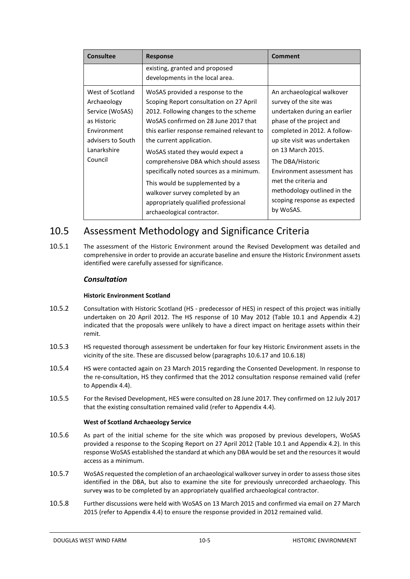| <b>Consultee</b>                                                                                                                | <b>Response</b>                                                                                                                                                                                                                                                                                                                                                                                                                                                                                             | <b>Comment</b>                                                                                                                                                                                                                                                                                                                                              |
|---------------------------------------------------------------------------------------------------------------------------------|-------------------------------------------------------------------------------------------------------------------------------------------------------------------------------------------------------------------------------------------------------------------------------------------------------------------------------------------------------------------------------------------------------------------------------------------------------------------------------------------------------------|-------------------------------------------------------------------------------------------------------------------------------------------------------------------------------------------------------------------------------------------------------------------------------------------------------------------------------------------------------------|
|                                                                                                                                 | existing, granted and proposed<br>developments in the local area.                                                                                                                                                                                                                                                                                                                                                                                                                                           |                                                                                                                                                                                                                                                                                                                                                             |
| West of Scotland<br>Archaeology<br>Service (WoSAS)<br>as Historic<br>Environment<br>advisers to South<br>Lanarkshire<br>Council | WoSAS provided a response to the<br>Scoping Report consultation on 27 April<br>2012. Following changes to the scheme<br>WoSAS confirmed on 28 June 2017 that<br>this earlier response remained relevant to<br>the current application.<br>WoSAS stated they would expect a<br>comprehensive DBA which should assess<br>specifically noted sources as a minimum.<br>This would be supplemented by a<br>walkover survey completed by an<br>appropriately qualified professional<br>archaeological contractor. | An archaeological walkover<br>survey of the site was<br>undertaken during an earlier<br>phase of the project and<br>completed in 2012. A follow-<br>up site visit was undertaken<br>on 13 March 2015.<br>The DBA/Historic<br>Environment assessment has<br>met the criteria and<br>methodology outlined in the<br>scoping response as expected<br>by WoSAS. |

# <span id="page-6-0"></span>10.5 Assessment Methodology and Significance Criteria

10.5.1 The assessment of the Historic Environment around the Revised Development was detailed and comprehensive in order to provide an accurate baseline and ensure the Historic Environment assets identified were carefully assessed for significance.

### *Consultation*

### **Historic Environment Scotland**

- 10.5.2 Consultation with Historic Scotland (HS predecessor of HES) in respect of this project was initially undertaken on 20 April 2012. The HS response of 10 May 2012 (Table 10.1 and Appendix 4.2) indicated that the proposals were unlikely to have a direct impact on heritage assets within their remit.
- 10.5.3 HS requested thorough assessment be undertaken for four key Historic Environment assets in the vicinity of the site. These are discussed below (paragraphs 10.6.17 and 10.6.18)
- 10.5.4 HS were contacted again on 23 March 2015 regarding the Consented Development. In response to the re-consultation, HS they confirmed that the 2012 consultation response remained valid (refer to Appendix 4.4).
- 10.5.5 For the Revised Development, HES were consulted on 28 June 2017. They confirmed on 12 July 2017 that the existing consultation remained valid (refer to Appendix 4.4).

### **West of Scotland Archaeology Service**

- 10.5.6 As part of the initial scheme for the site which was proposed by previous developers, WoSAS provided a response to the Scoping Report on 27 April 2012 (Table 10.1 and Appendix 4.2). In this response WoSAS established the standard at which any DBA would be set and the resources it would access as a minimum.
- 10.5.7 WoSAS requested the completion of an archaeological walkover survey in order to assessthose sites identified in the DBA, but also to examine the site for previously unrecorded archaeology. This survey was to be completed by an appropriately qualified archaeological contractor.
- 10.5.8 Further discussions were held with WoSAS on 13 March 2015 and confirmed via email on 27 March 2015 (refer to Appendix 4.4) to ensure the response provided in 2012 remained valid.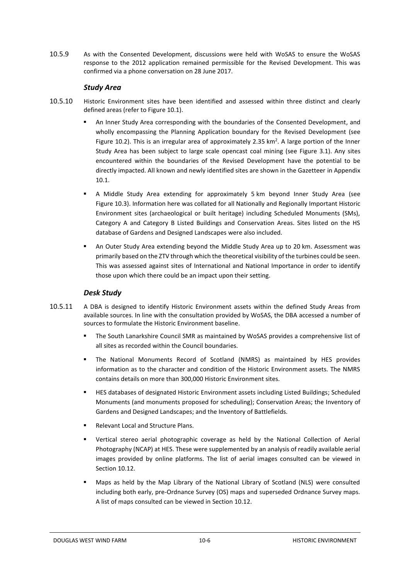10.5.9 As with the Consented Development, discussions were held with WoSAS to ensure the WoSAS response to the 2012 application remained permissible for the Revised Development. This was confirmed via a phone conversation on 28 June 2017.

### *Study Area*

- 10.5.10 Historic Environment sites have been identified and assessed within three distinct and clearly defined areas (refer to Figure 10.1).
	- An Inner Study Area corresponding with the boundaries of the Consented Development, and wholly encompassing the Planning Application boundary for the Revised Development (see Figure 10.2). This is an irregular area of approximately 2.35 km<sup>2</sup>. A large portion of the Inner Study Area has been subject to large scale opencast coal mining (see Figure 3.1). Any sites encountered within the boundaries of the Revised Development have the potential to be directly impacted. All known and newly identified sites are shown in the Gazetteer in Appendix 10.1.
	- A Middle Study Area extending for approximately 5 km beyond Inner Study Area (see Figure 10.3). Information here was collated for all Nationally and Regionally Important Historic Environment sites (archaeological or built heritage) including Scheduled Monuments (SMs), Category A and Category B Listed Buildings and Conservation Areas. Sites listed on the HS database of Gardens and Designed Landscapes were also included.
	- An Outer Study Area extending beyond the Middle Study Area up to 20 km. Assessment was primarily based on the ZTV through which the theoretical visibility of the turbines could be seen. This was assessed against sites of International and National Importance in order to identify those upon which there could be an impact upon their setting.

### *Desk Study*

- 10.5.11 A DBA is designed to identify Historic Environment assets within the defined Study Areas from available sources. In line with the consultation provided by WoSAS, the DBA accessed a number of sources to formulate the Historic Environment baseline.
	- The South Lanarkshire Council SMR as maintained by WoSAS provides a comprehensive list of all sites as recorded within the Council boundaries.
	- The National Monuments Record of Scotland (NMRS) as maintained by HES provides information as to the character and condition of the Historic Environment assets. The NMRS contains details on more than 300,000 Historic Environment sites.
	- HES databases of designated Historic Environment assets including Listed Buildings; Scheduled Monuments (and monuments proposed for scheduling); Conservation Areas; the Inventory of Gardens and Designed Landscapes; and the Inventory of Battlefields.
	- Relevant Local and Structure Plans.
	- Vertical stereo aerial photographic coverage as held by the National Collection of Aerial Photography (NCAP) at HES. These were supplemented by an analysis of readily available aerial images provided by online platforms. The list of aerial images consulted can be viewed in Section 10.12.
	- Maps as held by the Map Library of the National Library of Scotland (NLS) were consulted including both early, pre-Ordnance Survey (OS) maps and superseded Ordnance Survey maps. A list of maps consulted can be viewed in Section 10.12.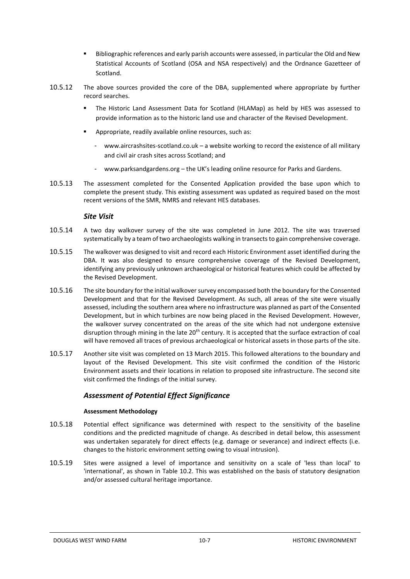- Bibliographic references and early parish accounts were assessed, in particular the Old and New Statistical Accounts of Scotland (OSA and NSA respectively) and the Ordnance Gazetteer of Scotland.
- 10.5.12 The above sources provided the core of the DBA, supplemented where appropriate by further record searches.
	- The Historic Land Assessment Data for Scotland (HLAMap) as held by HES was assessed to provide information as to the historic land use and character of the Revised Development.
	- Appropriate, readily available online resources, such as:
		- www.aircrashsites-scotland.co.uk a website working to record the existence of all military and civil air crash sites across Scotland; and
		- www.parksandgardens.org the UK's leading online resource for Parks and Gardens.
- 10.5.13 The assessment completed for the Consented Application provided the base upon which to complete the present study. This existing assessment was updated as required based on the most recent versions of the SMR, NMRS and relevant HES databases.

### *Site Visit*

- 10.5.14 A two day walkover survey of the site was completed in June 2012. The site was traversed systematically by a team of two archaeologists walking in transects to gain comprehensive coverage.
- 10.5.15 The walkover was designed to visit and record each Historic Environment asset identified during the DBA. It was also designed to ensure comprehensive coverage of the Revised Development, identifying any previously unknown archaeological or historical features which could be affected by the Revised Development.
- 10.5.16 The site boundary for the initial walkover survey encompassed both the boundary for the Consented Development and that for the Revised Development. As such, all areas of the site were visually assessed, including the southern area where no infrastructure was planned as part of the Consented Development, but in which turbines are now being placed in the Revised Development. However, the walkover survey concentrated on the areas of the site which had not undergone extensive disruption through mining in the late  $20<sup>th</sup>$  century. It is accepted that the surface extraction of coal will have removed all traces of previous archaeological or historical assets in those parts of the site.
- 10.5.17 Another site visit was completed on 13 March 2015. This followed alterations to the boundary and layout of the Revised Development. This site visit confirmed the condition of the Historic Environment assets and their locations in relation to proposed site infrastructure. The second site visit confirmed the findings of the initial survey.

### *Assessment of Potential Effect Significance*

### **Assessment Methodology**

- 10.5.18 Potential effect significance was determined with respect to the sensitivity of the baseline conditions and the predicted magnitude of change. As described in detail below, this assessment was undertaken separately for direct effects (e.g. damage or severance) and indirect effects (i.e. changes to the historic environment setting owing to visual intrusion).
- 10.5.19 Sites were assigned a level of importance and sensitivity on a scale of 'less than local' to 'international', as shown in Table 10.2. This was established on the basis of statutory designation and/or assessed cultural heritage importance.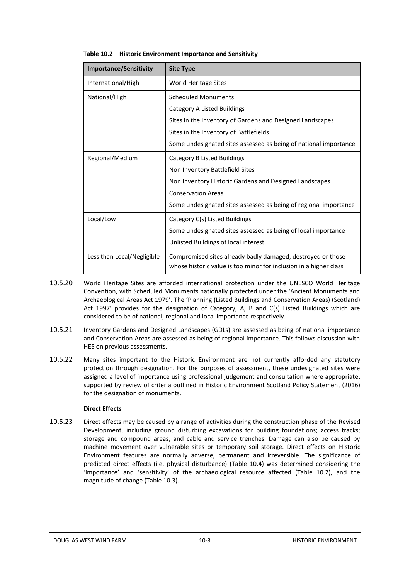| <b>Importance/Sensitivity</b> | <b>Site Type</b>                                                                                                                 |  |  |
|-------------------------------|----------------------------------------------------------------------------------------------------------------------------------|--|--|
| International/High            | World Heritage Sites                                                                                                             |  |  |
| National/High                 | <b>Scheduled Monuments</b>                                                                                                       |  |  |
|                               | Category A Listed Buildings                                                                                                      |  |  |
|                               | Sites in the Inventory of Gardens and Designed Landscapes                                                                        |  |  |
|                               | Sites in the Inventory of Battlefields                                                                                           |  |  |
|                               | Some undesignated sites assessed as being of national importance                                                                 |  |  |
| Regional/Medium               | Category B Listed Buildings                                                                                                      |  |  |
|                               | Non Inventory Battlefield Sites                                                                                                  |  |  |
|                               | Non Inventory Historic Gardens and Designed Landscapes                                                                           |  |  |
|                               | <b>Conservation Areas</b>                                                                                                        |  |  |
|                               | Some undesignated sites assessed as being of regional importance                                                                 |  |  |
| Local/Low                     | Category C(s) Listed Buildings                                                                                                   |  |  |
|                               | Some undesignated sites assessed as being of local importance                                                                    |  |  |
|                               | Unlisted Buildings of local interest                                                                                             |  |  |
| Less than Local/Negligible    | Compromised sites already badly damaged, destroyed or those<br>whose historic value is too minor for inclusion in a higher class |  |  |

| Table 10.2 - Historic Environment Importance and Sensitivity |  |
|--------------------------------------------------------------|--|
|--------------------------------------------------------------|--|

- 10.5.20 World Heritage Sites are afforded international protection under the UNESCO World Heritage Convention, with Scheduled Monuments nationally protected under the 'Ancient Monuments and Archaeological Areas Act 1979'. The 'Planning (Listed Buildings and Conservation Areas) (Scotland) Act 1997' provides for the designation of Category, A, B and C(s) Listed Buildings which are considered to be of national, regional and local importance respectively.
- 10.5.21 Inventory Gardens and Designed Landscapes (GDLs) are assessed as being of national importance and Conservation Areas are assessed as being of regional importance. This follows discussion with HES on previous assessments.
- 10.5.22 Many sites important to the Historic Environment are not currently afforded any statutory protection through designation. For the purposes of assessment, these undesignated sites were assigned a level of importance using professional judgement and consultation where appropriate, supported by review of criteria outlined in Historic Environment Scotland Policy Statement (2016) for the designation of monuments.

### **Direct Effects**

10.5.23 Direct effects may be caused by a range of activities during the construction phase of the Revised Development, including ground disturbing excavations for building foundations; access tracks; storage and compound areas; and cable and service trenches. Damage can also be caused by machine movement over vulnerable sites or temporary soil storage. Direct effects on Historic Environment features are normally adverse, permanent and irreversible. The significance of predicted direct effects (i.e. physical disturbance) (Table 10.4) was determined considering the 'importance' and 'sensitivity' of the archaeological resource affected (Table 10.2), and the magnitude of change (Table 10.3).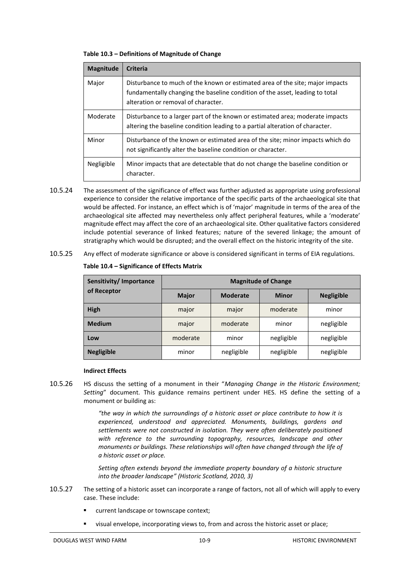### **Table 10.3 – Definitions of Magnitude of Change**

| <b>Magnitude</b> | <b>Criteria</b>                                                                                                                                                                                      |
|------------------|------------------------------------------------------------------------------------------------------------------------------------------------------------------------------------------------------|
| Major            | Disturbance to much of the known or estimated area of the site; major impacts<br>fundamentally changing the baseline condition of the asset, leading to total<br>alteration or removal of character. |
| Moderate         | Disturbance to a larger part of the known or estimated area; moderate impacts<br>altering the baseline condition leading to a partial alteration of character.                                       |
| Minor            | Disturbance of the known or estimated area of the site; minor impacts which do<br>not significantly alter the baseline condition or character.                                                       |
| Negligible       | Minor impacts that are detectable that do not change the baseline condition or<br>character.                                                                                                         |

- 10.5.24 The assessment of the significance of effect was further adjusted as appropriate using professional experience to consider the relative importance of the specific parts of the archaeological site that would be affected. For instance, an effect which is of 'major' magnitude in terms of the area of the archaeological site affected may nevertheless only affect peripheral features, while a 'moderate' magnitude effect may affect the core of an archaeological site. Other qualitative factors considered include potential severance of linked features; nature of the severed linkage; the amount of stratigraphy which would be disrupted; and the overall effect on the historic integrity of the site.
- 10.5.25 Any effect of moderate significance or above is considered significant in terms of EIA regulations.

| Sensitivity/ Importance | <b>Magnitude of Change</b> |                 |              |                   |  |
|-------------------------|----------------------------|-----------------|--------------|-------------------|--|
| of Receptor             | <b>Major</b>               | <b>Moderate</b> | <b>Minor</b> | <b>Negligible</b> |  |
| High                    | major                      | major           | moderate     | minor             |  |
| <b>Medium</b>           | major                      | moderate        | minor        | negligible        |  |
| Low                     | moderate                   | minor           | negligible   | negligible        |  |
| <b>Negligible</b>       | minor                      | negligible      | negligible   | negligible        |  |

**Table 10.4 – Significance of Effects Matrix**

### **Indirect Effects**

10.5.26 HS discuss the setting of a monument in their "*Managing Change in the Historic Environment; Setting*" document. This guidance remains pertinent under HES. HS define the setting of a monument or building as:

> *"the way in which the surroundings of a historic asset or place contribute to how it is experienced, understood and appreciated. Monuments, buildings, gardens and settlements were not constructed in isolation. They were often deliberately positioned with reference to the surrounding topography, resources, landscape and other monuments or buildings. These relationships will often have changed through the life of a historic asset or place.*

> *Setting often extends beyond the immediate property boundary of a historic structure into the broader landscape" (Historic Scotland, 2010, 3)*

- 10.5.27 The setting of a historic asset can incorporate a range of factors, not all of which will apply to every case. These include:
	- current landscape or townscape context;
	- visual envelope, incorporating views to, from and across the historic asset or place;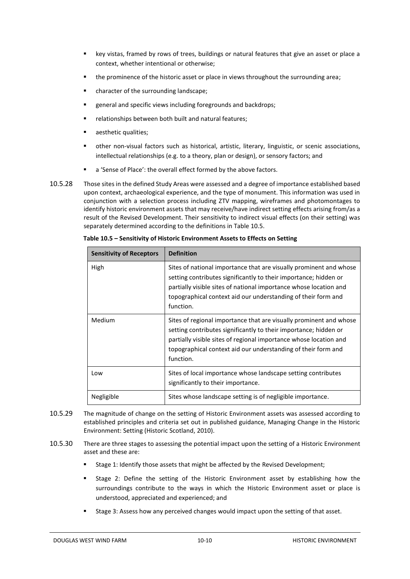- key vistas, framed by rows of trees, buildings or natural features that give an asset or place a context, whether intentional or otherwise;
- the prominence of the historic asset or place in views throughout the surrounding area;
- character of the surrounding landscape;
- **EXECTE:** general and specific views including foregrounds and backdrops;
- relationships between both built and natural features;
- **a** aesthetic qualities;
- other non-visual factors such as historical, artistic, literary, linguistic, or scenic associations, intellectual relationships (e.g. to a theory, plan or design), or sensory factors; and
- a 'Sense of Place': the overall effect formed by the above factors.
- 10.5.28 Those sites in the defined Study Areas were assessed and a degree of importance established based upon context, archaeological experience, and the type of monument. This information was used in conjunction with a selection process including ZTV mapping, wireframes and photomontages to identify historic environment assets that may receive/have indirect setting effects arising from/as a result of the Revised Development. Their sensitivity to indirect visual effects (on their setting) was separately determined according to the definitions in Table 10.5.

| <b>Sensitivity of Receptors</b> | <b>Definition</b>                                                                                                                                                                                                                                                                         |
|---------------------------------|-------------------------------------------------------------------------------------------------------------------------------------------------------------------------------------------------------------------------------------------------------------------------------------------|
| High                            | Sites of national importance that are visually prominent and whose<br>setting contributes significantly to their importance; hidden or<br>partially visible sites of national importance whose location and<br>topographical context aid our understanding of their form and<br>function. |
| Medium                          | Sites of regional importance that are visually prominent and whose<br>setting contributes significantly to their importance; hidden or<br>partially visible sites of regional importance whose location and<br>topographical context aid our understanding of their form and<br>function. |
| Low                             | Sites of local importance whose landscape setting contributes<br>significantly to their importance.                                                                                                                                                                                       |
| Negligible                      | Sites whose landscape setting is of negligible importance.                                                                                                                                                                                                                                |

**Table 10.5 – Sensitivity of Historic Environment Assets to Effects on Setting**

- 10.5.29 The magnitude of change on the setting of Historic Environment assets was assessed according to established principles and criteria set out in published guidance, Managing Change in the Historic Environment: Setting (Historic Scotland, 2010).
- 10.5.30 There are three stages to assessing the potential impact upon the setting of a Historic Environment asset and these are:
	- Stage 1: Identify those assets that might be affected by the Revised Development;
	- Stage 2: Define the setting of the Historic Environment asset by establishing how the surroundings contribute to the ways in which the Historic Environment asset or place is understood, appreciated and experienced; and
	- Stage 3: Assess how any perceived changes would impact upon the setting of that asset.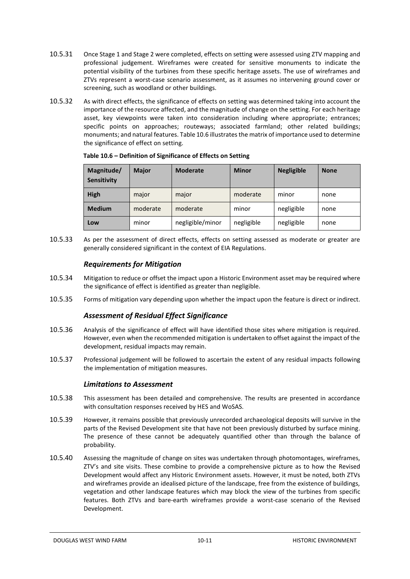- 10.5.31 Once Stage 1 and Stage 2 were completed, effects on setting were assessed using ZTV mapping and professional judgement. Wireframes were created for sensitive monuments to indicate the potential visibility of the turbines from these specific heritage assets. The use of wireframes and ZTVs represent a worst-case scenario assessment, as it assumes no intervening ground cover or screening, such as woodland or other buildings.
- 10.5.32 As with direct effects, the significance of effects on setting was determined taking into account the importance of the resource affected, and the magnitude of change on the setting. For each heritage asset, key viewpoints were taken into consideration including where appropriate; entrances; specific points on approaches; routeways; associated farmland; other related buildings; monuments; and natural features. Table 10.6 illustrates the matrix of importance used to determine the significance of effect on setting.

| Magnitude/<br>Sensitivity | <b>Major</b> | <b>Moderate</b>  | <b>Minor</b> | <b>Negligible</b> | <b>None</b> |
|---------------------------|--------------|------------------|--------------|-------------------|-------------|
| <b>High</b>               | major        | major            | moderate     | minor             | none        |
| <b>Medium</b>             | moderate     | moderate         | minor        | negligible        | none        |
| Low                       | minor        | negligible/minor | negligible   | negligible        | none        |

**Table 10.6 – Definition of Significance of Effects on Setting**

10.5.33 As per the assessment of direct effects, effects on setting assessed as moderate or greater are generally considered significant in the context of EIA Regulations.

### *Requirements for Mitigation*

- 10.5.34 Mitigation to reduce or offset the impact upon a Historic Environment asset may be required where the significance of effect is identified as greater than negligible.
- 10.5.35 Forms of mitigation vary depending upon whether the impact upon the feature is direct or indirect.

### *Assessment of Residual Effect Significance*

- 10.5.36 Analysis of the significance of effect will have identified those sites where mitigation is required. However, even when the recommended mitigation is undertaken to offset against the impact of the development, residual impacts may remain.
- 10.5.37 Professional judgement will be followed to ascertain the extent of any residual impacts following the implementation of mitigation measures.

### *Limitations to Assessment*

- 10.5.38 This assessment has been detailed and comprehensive. The results are presented in accordance with consultation responses received by HES and WoSAS.
- 10.5.39 However, it remains possible that previously unrecorded archaeological deposits will survive in the parts of the Revised Development site that have not been previously disturbed by surface mining. The presence of these cannot be adequately quantified other than through the balance of probability.
- 10.5.40 Assessing the magnitude of change on sites was undertaken through photomontages, wireframes, ZTV's and site visits. These combine to provide a comprehensive picture as to how the Revised Development would affect any Historic Environment assets. However, it must be noted, both ZTVs and wireframes provide an idealised picture of the landscape, free from the existence of buildings, vegetation and other landscape features which may block the view of the turbines from specific features. Both ZTVs and bare-earth wireframes provide a worst-case scenario of the Revised Development.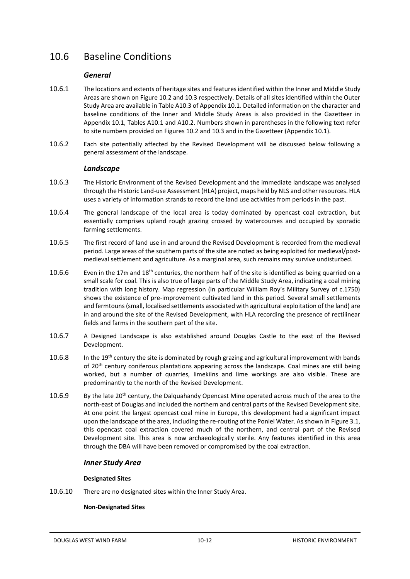## <span id="page-13-0"></span>10.6 Baseline Conditions

### *General*

- 10.6.1 The locations and extents of heritage sites and features identified within the Inner and Middle Study Areas are shown on Figure 10.2 and 10.3 respectively. Details of all sites identified within the Outer Study Area are available in Table A10.3 of Appendix 10.1. Detailed information on the character and baseline conditions of the Inner and Middle Study Areas is also provided in the Gazetteer in Appendix 10.1, Tables A10.1 and A10.2. Numbers shown in parentheses in the following text refer to site numbers provided on Figures 10.2 and 10.3 and in the Gazetteer (Appendix 10.1).
- 10.6.2 Each site potentially affected by the Revised Development will be discussed below following a general assessment of the landscape.

### *Landscape*

- 10.6.3 The Historic Environment of the Revised Development and the immediate landscape was analysed through the Historic Land-use Assessment (HLA) project, maps held by NLS and other resources. HLA uses a variety of information strands to record the land use activities from periods in the past.
- 10.6.4 The general landscape of the local area is today dominated by opencast coal extraction, but essentially comprises upland rough grazing crossed by watercourses and occupied by sporadic farming settlements.
- 10.6.5 The first record of land use in and around the Revised Development is recorded from the medieval period. Large areas of the southern parts of the site are noted as being exploited for medieval/postmedieval settlement and agriculture. As a marginal area, such remains may survive undisturbed.
- 10.6.6 Even in the 17th and 18<sup>th</sup> centuries, the northern half of the site is identified as being quarried on a small scale for coal. This is also true of large parts of the Middle Study Area, indicating a coal mining tradition with long history. Map regression (in particular William Roy's Military Survey of c.1750) shows the existence of pre-improvement cultivated land in this period. Several small settlements and fermtouns(small, localised settlements associated with agricultural exploitation of the land) are in and around the site of the Revised Development, with HLA recording the presence of rectilinear fields and farms in the southern part of the site.
- 10.6.7 A Designed Landscape is also established around Douglas Castle to the east of the Revised Development.
- 10.6.8 In the 19<sup>th</sup> century the site is dominated by rough grazing and agricultural improvement with bands of 20<sup>th</sup> century coniferous plantations appearing across the landscape. Coal mines are still being worked, but a number of quarries, limekilns and lime workings are also visible. These are predominantly to the north of the Revised Development.
- 10.6.9 By the late 20<sup>th</sup> century, the Dalquahandy Opencast Mine operated across much of the area to the north-east of Douglas and included the northern and central parts of the Revised Development site. At one point the largest opencast coal mine in Europe, this development had a significant impact upon the landscape of the area, including the re-routing of the Poniel Water. As shown in Figure 3.1, this opencast coal extraction covered much of the northern, and central part of the Revised Development site. This area is now archaeologically sterile. Any features identified in this area through the DBA will have been removed or compromised by the coal extraction.

### *Inner Study Area*

### **Designated Sites**

10.6.10 There are no designated sites within the Inner Study Area.

#### **Non-Designated Sites**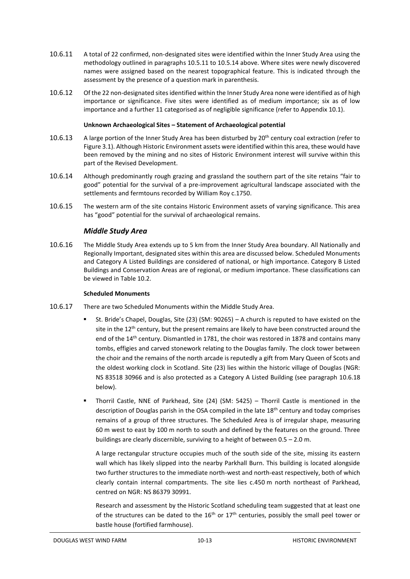- 10.6.11 A total of 22 confirmed, non-designated sites were identified within the Inner Study Area using the methodology outlined in paragraphs 10.5.11 to 10.5.14 above. Where sites were newly discovered names were assigned based on the nearest topographical feature. This is indicated through the assessment by the presence of a question mark in parenthesis.
- 10.6.12 Of the 22 non-designated sites identified within the Inner Study Area none were identified as of high importance or significance. Five sites were identified as of medium importance; six as of low importance and a further 11 categorised as of negligible significance (refer to Appendix 10.1).

### **Unknown Archaeological Sites – Statement of Archaeological potential**

- 10.6.13 A large portion of the Inner Study Area has been disturbed by 20<sup>th</sup> century coal extraction (refer to Figure 3.1). Although Historic Environment assets were identified within this area, these would have been removed by the mining and no sites of Historic Environment interest will survive within this part of the Revised Development.
- 10.6.14 Although predominantly rough grazing and grassland the southern part of the site retains "fair to good" potential for the survival of a pre-improvement agricultural landscape associated with the settlements and fermtouns recorded by William Roy c.1750.
- 10.6.15 The western arm of the site contains Historic Environment assets of varying significance. This area has "good" potential for the survival of archaeological remains.

### *Middle Study Area*

10.6.16 The Middle Study Area extends up to 5 km from the Inner Study Area boundary. All Nationally and Regionally Important, designated sites within this area are discussed below. Scheduled Monuments and Category A Listed Buildings are considered of national, or high importance. Category B Listed Buildings and Conservation Areas are of regional, or medium importance. These classifications can be viewed in Table 10.2.

#### **Scheduled Monuments**

- 10.6.17 There are two Scheduled Monuments within the Middle Study Area.
	- St. Bride's Chapel, Douglas, Site (23) (SM: 90265) A church is reputed to have existed on the site in the 12<sup>th</sup> century, but the present remains are likely to have been constructed around the end of the 14<sup>th</sup> century. Dismantled in 1781, the choir was restored in 1878 and contains many tombs, effigies and carved stonework relating to the Douglas family. The clock tower between the choir and the remains of the north arcade is reputedly a gift from Mary Queen of Scots and the oldest working clock in Scotland. Site (23) lies within the historic village of Douglas (NGR: NS 83518 30966 and is also protected as a Category A Listed Building (see paragraph 10.6.18 below).
	- Thorril Castle, NNE of Parkhead, Site (24) (SM: 5425) Thorril Castle is mentioned in the description of Douglas parish in the OSA compiled in the late 18<sup>th</sup> century and today comprises remains of a group of three structures. The Scheduled Area is of irregular shape, measuring 60 m west to east by 100 m north to south and defined by the features on the ground. Three buildings are clearly discernible, surviving to a height of between 0.5 – 2.0 m.

A large rectangular structure occupies much of the south side of the site, missing its eastern wall which has likely slipped into the nearby Parkhall Burn. This building is located alongside two further structures to the immediate north-west and north-east respectively, both of which clearly contain internal compartments. The site lies c.450 m north northeast of Parkhead, centred on NGR: NS 86379 30991.

Research and assessment by the Historic Scotland scheduling team suggested that at least one of the structures can be dated to the  $16<sup>th</sup>$  or  $17<sup>th</sup>$  centuries, possibly the small peel tower or bastle house (fortified farmhouse).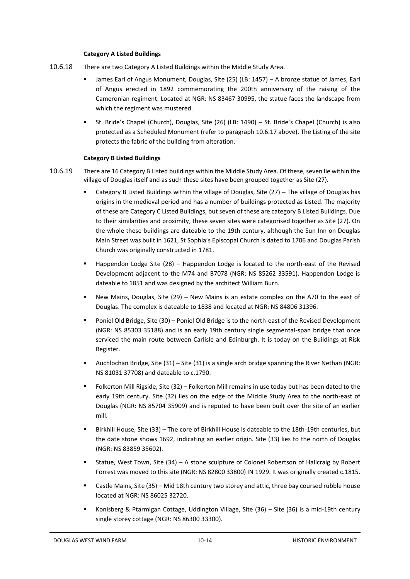### **Category A Listed Buildings**

- 10.6.18 There are two Category A Listed Buildings within the Middle Study Area.
	- James Earl of Angus Monument, Douglas, Site (25) (LB: 1457) A bronze statue of James, Earl of Angus erected in 1892 commemorating the 200th anniversary of the raising of the Cameronian regiment. Located at NGR: NS 83467 30995, the statue faces the landscape from which the regiment was mustered.
	- St. Bride's Chapel (Church), Douglas, Site (26) (LB: 1490) St. Bride's Chapel (Church) is also protected as a Scheduled Monument (refer to paragraph 10.6.17 above). The Listing of the site protects the fabric of the building from alteration.

### **Category B Listed Buildings**

- 10.6.19 There are 16 Category B Listed buildings within the Middle Study Area. Of these, seven lie within the village of Douglas itself and as such these sites have been grouped together as Site (27).
	- Category B Listed Buildings within the village of Douglas, Site (27) The village of Douglas has origins in the medieval period and has a number of buildings protected as Listed. The majority of these are Category C Listed Buildings, but seven of these are category B Listed Buildings. Due to their similarities and proximity, these seven sites were categorised together as Site (27). On the whole these buildings are dateable to the 19th century, although the Sun Inn on Douglas Main Street was built in 1621, St Sophia's Episcopal Church is dated to 1706 and Douglas Parish Church was originally constructed in 1781.
	- Happendon Lodge Site (28) Happendon Lodge is located to the north-east of the Revised Development adjacent to the M74 and B7078 (NGR: NS 85262 33591). Happendon Lodge is dateable to 1851 and was designed by the architect William Burn.
	- New Mains, Douglas, Site (29) New Mains is an estate complex on the A70 to the east of Douglas. The complex is dateable to 1838 and located at NGR: NS 84806 31396.
	- Poniel Old Bridge, Site (30) Poniel Old Bridge is to the north-east of the Revised Development (NGR: NS 85303 35188) and is an early 19th century single segmental-span bridge that once serviced the main route between Carlisle and Edinburgh. It is today on the Buildings at Risk Register.
	- Auchlochan Bridge, Site (31) Site (31) is a single arch bridge spanning the River Nethan (NGR: NS 81031 37708) and dateable to c.1790.
	- Folkerton Mill Rigside, Site (32) Folkerton Mill remains in use today but has been dated to the early 19th century. Site (32) lies on the edge of the Middle Study Area to the north-east of Douglas (NGR: NS 85704 35909) and is reputed to have been built over the site of an earlier mill.
	- Birkhill House, Site (33) The core of Birkhill House is dateable to the 18th-19th centuries, but the date stone shows 1692, indicating an earlier origin. Site (33) lies to the north of Douglas (NGR: NS 83859 35602).
	- Statue, West Town, Site (34) A stone sculpture of Colonel Robertson of Hallcraig by Robert Forrest was moved to this site (NGR: NS 82800 33800) IN 1929. It was originally created c.1815.
	- Castle Mains, Site (35) Mid 18th century two storey and attic, three bay coursed rubble house located at NGR: NS 86025 32720.
	- Konisberg & Ptarmigan Cottage, Uddington Village, Site (36) Site (36) is a mid-19th century single storey cottage (NGR: NS 86300 33300).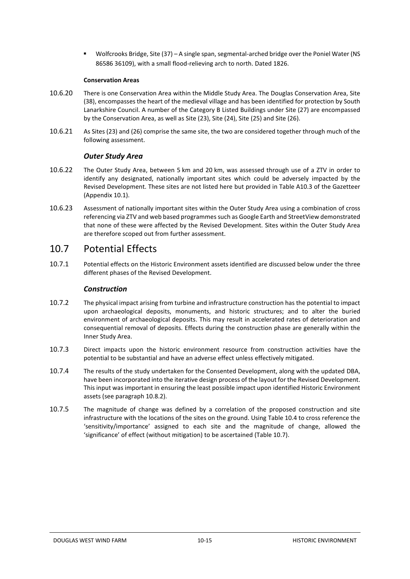Wolfcrooks Bridge, Site (37) – A single span, segmental-arched bridge over the Poniel Water (NS 86586 36109), with a small flood-relieving arch to north. Dated 1826.

### **Conservation Areas**

- 10.6.20 There is one Conservation Area within the Middle Study Area. The Douglas Conservation Area, Site (38), encompasses the heart of the medieval village and has been identified for protection by South Lanarkshire Council. A number of the Category B Listed Buildings under Site (27) are encompassed by the Conservation Area, as well as Site (23), Site (24), Site (25) and Site (26).
- 10.6.21 As Sites (23) and (26) comprise the same site, the two are considered together through much of the following assessment.

### *Outer Study Area*

- 10.6.22 The Outer Study Area, between 5 km and 20 km, was assessed through use of a ZTV in order to identify any designated, nationally important sites which could be adversely impacted by the Revised Development. These sites are not listed here but provided in Table A10.3 of the Gazetteer (Appendix 10.1).
- 10.6.23 Assessment of nationally important sites within the Outer Study Area using a combination of cross referencing via ZTV and web based programmes such as Google Earth and StreetView demonstrated that none of these were affected by the Revised Development. Sites within the Outer Study Area are therefore scoped out from further assessment.

### <span id="page-16-0"></span>10.7 Potential Effects

10.7.1 Potential effects on the Historic Environment assets identified are discussed below under the three different phases of the Revised Development.

### *Construction*

- 10.7.2 The physical impact arising from turbine and infrastructure construction has the potential to impact upon archaeological deposits, monuments, and historic structures; and to alter the buried environment of archaeological deposits. This may result in accelerated rates of deterioration and consequential removal of deposits. Effects during the construction phase are generally within the Inner Study Area.
- 10.7.3 Direct impacts upon the historic environment resource from construction activities have the potential to be substantial and have an adverse effect unless effectively mitigated.
- 10.7.4 The results of the study undertaken for the Consented Development, along with the updated DBA, have been incorporated into the iterative design process of the layout for the Revised Development. This input was important in ensuring the least possible impact upon identified Historic Environment assets (see paragraph 10.8.2).
- 10.7.5 The magnitude of change was defined by a correlation of the proposed construction and site infrastructure with the locations of the sites on the ground. Using Table 10.4 to cross reference the 'sensitivity/importance' assigned to each site and the magnitude of change, allowed the 'significance' of effect (without mitigation) to be ascertained (Table 10.7).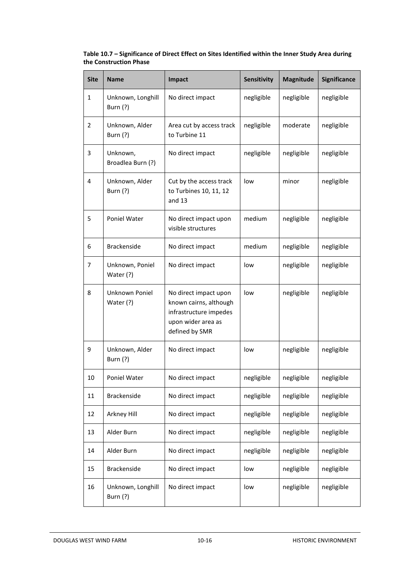### **Table 10.7 – Significance of Direct Effect on Sites Identified within the Inner Study Area during the Construction Phase**

| <b>Site</b>    | <b>Name</b>                   | Impact                                                                                                            | Sensitivity | Magnitude  | <b>Significance</b> |
|----------------|-------------------------------|-------------------------------------------------------------------------------------------------------------------|-------------|------------|---------------------|
| $\mathbf{1}$   | Unknown, Longhill<br>Burn (?) | No direct impact                                                                                                  | negligible  | negligible | negligible          |
| $\overline{2}$ | Unknown, Alder<br>Burn (?)    | Area cut by access track<br>to Turbine 11                                                                         | negligible  | moderate   | negligible          |
| 3              | Unknown,<br>Broadlea Burn (?) | No direct impact                                                                                                  | negligible  | negligible | negligible          |
| 4              | Unknown, Alder<br>Burn (?)    | Cut by the access track<br>to Turbines 10, 11, 12<br>and 13                                                       | low         | minor      | negligible          |
| 5              | Poniel Water                  | No direct impact upon<br>visible structures                                                                       | medium      | negligible | negligible          |
| 6              | <b>Brackenside</b>            | No direct impact                                                                                                  | medium      | negligible | negligible          |
| $\overline{7}$ | Unknown, Poniel<br>Water (?)  | No direct impact                                                                                                  | low         | negligible | negligible          |
| 8              | Unknown Poniel<br>Water (?)   | No direct impact upon<br>known cairns, although<br>infrastructure impedes<br>upon wider area as<br>defined by SMR | low         | negligible | negligible          |
| 9              | Unknown, Alder<br>Burn (?)    | No direct impact                                                                                                  | low         | negligible | negligible          |
| 10             | Poniel Water                  | No direct impact                                                                                                  | negligible  | negligible | negligible          |
| 11             | Brackenside                   | No direct impact                                                                                                  | negligible  | negligible | negligible          |
| 12             | Arkney Hill                   | No direct impact                                                                                                  | negligible  | negligible | negligible          |
| 13             | Alder Burn                    | No direct impact                                                                                                  | negligible  | negligible | negligible          |
| 14             | Alder Burn                    | No direct impact                                                                                                  | negligible  | negligible | negligible          |
| 15             | <b>Brackenside</b>            | No direct impact                                                                                                  | low         | negligible | negligible          |
| 16             | Unknown, Longhill<br>Burn (?) | No direct impact                                                                                                  | low         | negligible | negligible          |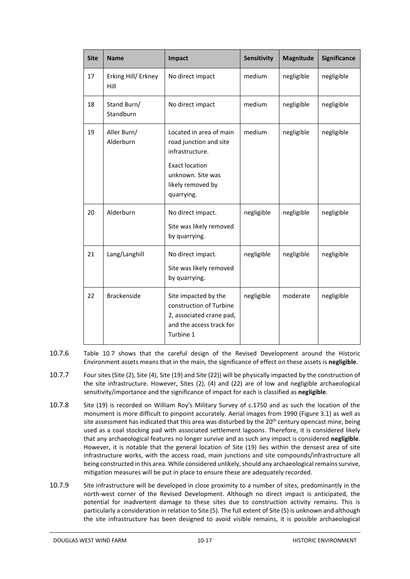| <b>Site</b> | <b>Name</b>                 | Impact                                                                                                                                                | Sensitivity | Magnitude  | <b>Significance</b> |
|-------------|-----------------------------|-------------------------------------------------------------------------------------------------------------------------------------------------------|-------------|------------|---------------------|
| 17          | Erking Hill/ Erkney<br>Hill | No direct impact                                                                                                                                      | medium      | negligible | negligible          |
| 18          | Stand Burn/<br>Standburn    | No direct impact                                                                                                                                      | medium      | negligible | negligible          |
| 19          | Aller Burn/<br>Alderburn    | Located in area of main<br>road junction and site<br>infrastructure.<br><b>Exact location</b><br>unknown. Site was<br>likely removed by<br>quarrying. | medium      | negligible | negligible          |
| 20          | Alderburn                   | No direct impact.<br>Site was likely removed<br>by quarrying.                                                                                         | negligible  | negligible | negligible          |
| 21          | Lang/Langhill               | No direct impact.<br>Site was likely removed<br>by quarrying.                                                                                         | negligible  | negligible | negligible          |
| 22          | <b>Brackenside</b>          | Site impacted by the<br>construction of Turbine<br>2, associated crane pad,<br>and the access track for<br>Turbine 1                                  | negligible  | moderate   | negligible          |

- 10.7.6 Table 10.7 shows that the careful design of the Revised Development around the Historic Environment assets means that in the main, the significance of effect on these assets is **negligible**.
- 10.7.7 Four sites (Site (2), Site (4), Site (19) and Site (22)) will be physically impacted by the construction of the site infrastructure. However, Sites (2), (4) and (22) are of low and negligible archaeological sensitivity/importance and the significance of impact for each is classified as **negligible**.
- 10.7.8 Site (19) is recorded on William Roy's Military Survey of c.1750 and as such the location of the monument is more difficult to pinpoint accurately. Aerial images from 1990 (Figure 3.1) as well as site assessment has indicated that this area was disturbed by the  $20<sup>th</sup>$  century opencast mine, being used as a coal stocking pad with associated settlement lagoons. Therefore, it is considered likely that any archaeological features no longer survive and as such any impact is considered **negligible**. However, it is notable that the general location of Site (19) lies within the densest area of site infrastructure works, with the access road, main junctions and site compounds/infrastructure all being constructed in this area. While considered unlikely, should any archaeological remains survive, mitigation measures will be put in place to ensure these are adequately recorded.
- 10.7.9 Site infrastructure will be developed in close proximity to a number of sites, predominantly in the north-west corner of the Revised Development. Although no direct impact is anticipated, the potential for inadvertent damage to these sites due to construction activity remains. This is particularly a consideration in relation to Site (5). The full extent of Site (5) is unknown and although the site infrastructure has been designed to avoid visible remains, it is possible archaeological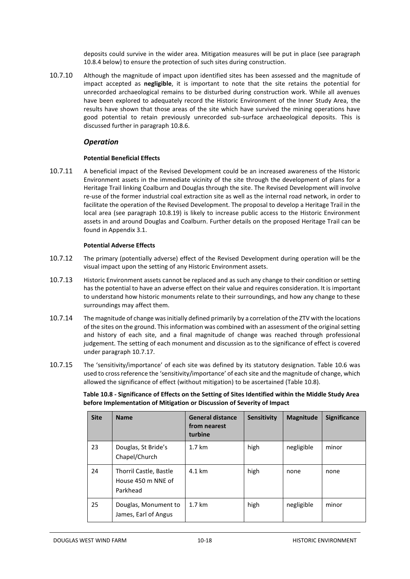deposits could survive in the wider area. Mitigation measures will be put in place (see paragraph 10.8.4 below) to ensure the protection of such sites during construction.

10.7.10 Although the magnitude of impact upon identified sites has been assessed and the magnitude of impact accepted as **negligible**, it is important to note that the site retains the potential for unrecorded archaeological remains to be disturbed during construction work. While all avenues have been explored to adequately record the Historic Environment of the Inner Study Area, the results have shown that those areas of the site which have survived the mining operations have good potential to retain previously unrecorded sub-surface archaeological deposits. This is discussed further in paragraph 10.8.6.

### *Operation*

### **Potential Beneficial Effects**

10.7.11 A beneficial impact of the Revised Development could be an increased awareness of the Historic Environment assets in the immediate vicinity of the site through the development of plans for a Heritage Trail linking Coalburn and Douglas through the site. The Revised Development will involve re-use of the former industrial coal extraction site as well as the internal road network, in order to facilitate the operation of the Revised Development. The proposal to develop a Heritage Trail in the local area (see paragraph 10.8.19) is likely to increase public access to the Historic Environment assets in and around Douglas and Coalburn. Further details on the proposed Heritage Trail can be found in Appendix 3.1.

### **Potential Adverse Effects**

- 10.7.12 The primary (potentially adverse) effect of the Revised Development during operation will be the visual impact upon the setting of any Historic Environment assets.
- 10.7.13 Historic Environment assets cannot be replaced and as such any change to their condition or setting has the potential to have an adverse effect on their value and requires consideration. It is important to understand how historic monuments relate to their surroundings, and how any change to these surroundings may affect them.
- 10.7.14 The magnitude of change was initially defined primarily by a correlation of the ZTV with the locations of the sites on the ground. This information was combined with an assessment of the original setting and history of each site, and a final magnitude of change was reached through professional judgement. The setting of each monument and discussion as to the significance of effect is covered under paragraph 10.7.17.
- 10.7.15 The 'sensitivity/importance' of each site was defined by its statutory designation. Table 10.6 was used to cross reference the 'sensitivity/importance' of each site and the magnitude of change, which allowed the significance of effect (without mitigation) to be ascertained (Table 10.8).

**Table 10.8 - Significance of Effects on the Setting of Sites Identified within the Middle Study Area before Implementation of Mitigation or Discussion of Severity of Impact**

| <b>Site</b> | <b>Name</b>                                                     | <b>General distance</b><br>from nearest<br>turbine | Sensitivity | <b>Magnitude</b> | <b>Significance</b> |
|-------------|-----------------------------------------------------------------|----------------------------------------------------|-------------|------------------|---------------------|
| 23          | Douglas, St Bride's<br>Chapel/Church                            | $1.7 \text{ km}$                                   | high        | negligible       | minor               |
| 24          | <b>Thorril Castle, Bastle</b><br>House 450 m NNE of<br>Parkhead | 4.1 km                                             | high        | none             | none                |
| 25          | Douglas, Monument to<br>James, Earl of Angus                    | $1.7 \text{ km}$                                   | high        | negligible       | minor               |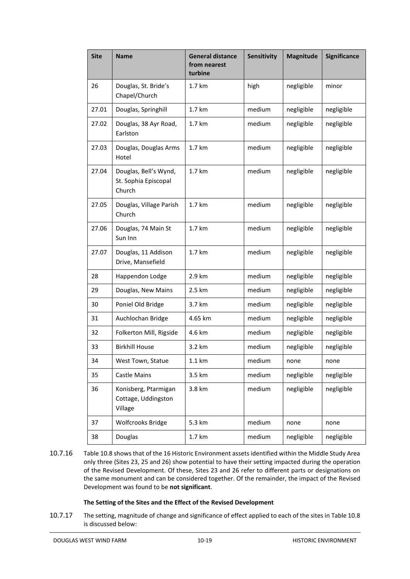| <b>Site</b> | <b>Name</b>                                             | <b>General distance</b><br>from nearest<br>turbine | Sensitivity | Magnitude  | <b>Significance</b> |
|-------------|---------------------------------------------------------|----------------------------------------------------|-------------|------------|---------------------|
| 26          | Douglas, St. Bride's<br>Chapel/Church                   | 1.7 km                                             | high        | negligible | minor               |
| 27.01       | Douglas, Springhill                                     | 1.7 km                                             | medium      | negligible | negligible          |
| 27.02       | Douglas, 38 Ayr Road,<br>Earlston                       | 1.7 km                                             | medium      | negligible | negligible          |
| 27.03       | Douglas, Douglas Arms<br>Hotel                          | 1.7 km                                             | medium      | negligible | negligible          |
| 27.04       | Douglas, Bell's Wynd,<br>St. Sophia Episcopal<br>Church | 1.7 km                                             | medium      | negligible | negligible          |
| 27.05       | Douglas, Village Parish<br>Church                       | 1.7 km                                             | medium      | negligible | negligible          |
| 27.06       | Douglas, 74 Main St<br>Sun Inn                          | 1.7 km                                             | medium      | negligible | negligible          |
| 27.07       | Douglas, 11 Addison<br>Drive, Mansefield                | $1.7 \mathrm{km}$                                  | medium      | negligible | negligible          |
| 28          | Happendon Lodge                                         | 2.9 km                                             | medium      | negligible | negligible          |
| 29          | Douglas, New Mains                                      | 2.5 km                                             | medium      | negligible | negligible          |
| 30          | Poniel Old Bridge                                       | 3.7 km                                             | medium      | negligible | negligible          |
| 31          | Auchlochan Bridge                                       | 4.65 km                                            | medium      | negligible | negligible          |
| 32          | Folkerton Mill, Rigside                                 | 4.6 km                                             | medium      | negligible | negligible          |
| 33          | <b>Birkhill House</b>                                   | 3.2 km                                             | medium      | negligible | negligible          |
| 34          | West Town, Statue                                       | $1.1 \text{ km}$                                   | medium      | none       | none                |
| 35          | <b>Castle Mains</b>                                     | 3.5 km                                             | medium      | negligible | negligible          |
| 36          | Konisberg, Ptarmigan<br>Cottage, Uddingston<br>Village  | 3.8 km                                             | medium      | negligible | negligible          |
| 37          | <b>Wolfcrooks Bridge</b>                                | 5.3 km                                             | medium      | none       | none                |
| 38          | Douglas                                                 | 1.7 km                                             | medium      | negligible | negligible          |

10.7.16 Table 10.8 shows that of the 16 Historic Environment assets identified within the Middle Study Area only three (Sites 23, 25 and 26) show potential to have their setting impacted during the operation of the Revised Development. Of these, Sites 23 and 26 refer to different parts or designations on the same monument and can be considered together. Of the remainder, the impact of the Revised Development was found to be **not significant**.

### **The Setting of the Sites and the Effect of the Revised Development**

10.7.17 The setting, magnitude of change and significance of effect applied to each of the sites in Table 10.8 is discussed below: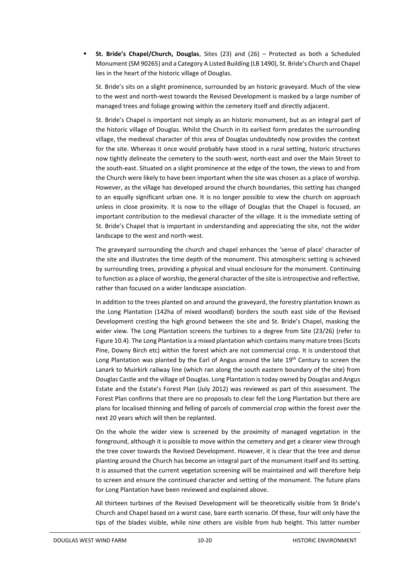**St. Bride's Chapel/Church, Douglas**, Sites (23) and (26) – Protected as both a Scheduled Monument (SM 90265) and a Category A Listed Building (LB 1490), St. Bride's Church and Chapel lies in the heart of the historic village of Douglas.

St. Bride's sits on a slight prominence, surrounded by an historic graveyard. Much of the view to the west and north-west towards the Revised Development is masked by a large number of managed trees and foliage growing within the cemetery itself and directly adjacent.

St. Bride's Chapel is important not simply as an historic monument, but as an integral part of the historic village of Douglas. Whilst the Church in its earliest form predates the surrounding village, the medieval character of this area of Douglas undoubtedly now provides the context for the site. Whereas it once would probably have stood in a rural setting, historic structures now tightly delineate the cemetery to the south-west, north-east and over the Main Street to the south-east. Situated on a slight prominence at the edge of the town, the views to and from the Church were likely to have been important when the site was chosen as a place of worship. However, as the village has developed around the church boundaries, this setting has changed to an equally significant urban one. It is no longer possible to view the church on approach unless in close proximity. It is now to the village of Douglas that the Chapel is focused, an important contribution to the medieval character of the village. It is the immediate setting of St. Bride's Chapel that is important in understanding and appreciating the site, not the wider landscape to the west and north-west.

The graveyard surrounding the church and chapel enhances the 'sense of place' character of the site and illustrates the time depth of the monument. This atmospheric setting is achieved by surrounding trees, providing a physical and visual enclosure for the monument. Continuing to function as a place of worship, the general character of the site is introspective and reflective, rather than focused on a wider landscape association.

In addition to the trees planted on and around the graveyard, the forestry plantation known as the Long Plantation (142ha of mixed woodland) borders the south east side of the Revised Development cresting the high ground between the site and St. Bride's Chapel, masking the wider view. The Long Plantation screens the turbines to a degree from Site (23/26) (refer to Figure 10.4). The Long Plantation is a mixed plantation which contains many mature trees (Scots Pine, Downy Birch etc) within the forest which are not commercial crop. It is understood that Long Plantation was planted by the Earl of Angus around the late 19<sup>th</sup> Century to screen the Lanark to Muirkirk railway line (which ran along the south eastern boundary of the site) from Douglas Castle and the village of Douglas. Long Plantation is today owned by Douglas and Angus Estate and the Estate's Forest Plan (July 2012) was reviewed as part of this assessment. The Forest Plan confirms that there are no proposals to clear fell the Long Plantation but there are plans for localised thinning and felling of parcels of commercial crop within the forest over the next 20 years which will then be replanted.

On the whole the wider view is screened by the proximity of managed vegetation in the foreground, although it is possible to move within the cemetery and get a clearer view through the tree cover towards the Revised Development. However, it is clear that the tree and dense planting around the Church has become an integral part of the monument itself and its setting. It is assumed that the current vegetation screening will be maintained and will therefore help to screen and ensure the continued character and setting of the monument. The future plans for Long Plantation have been reviewed and explained above.

All thirteen turbines of the Revised Development will be theoretically visible from St Bride's Church and Chapel based on a worst case, bare earth scenario. Of these, four will only have the tips of the blades visible, while nine others are visible from hub height. This latter number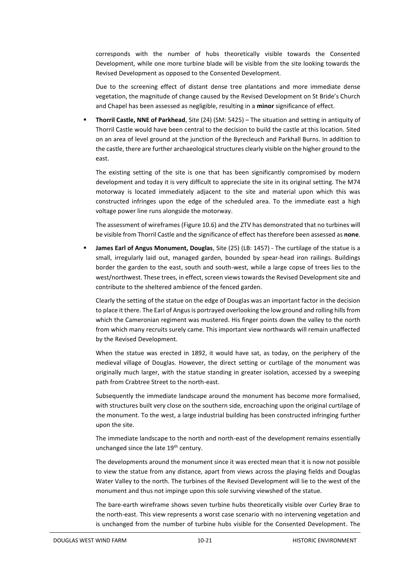corresponds with the number of hubs theoretically visible towards the Consented Development, while one more turbine blade will be visible from the site looking towards the Revised Development as opposed to the Consented Development.

Due to the screening effect of distant dense tree plantations and more immediate dense vegetation, the magnitude of change caused by the Revised Development on St Bride's Church and Chapel has been assessed as negligible, resulting in a **minor** significance of effect.

 **Thorril Castle, NNE of Parkhead**, Site (24) (SM: 5425) – The situation and setting in antiquity of Thorril Castle would have been central to the decision to build the castle at this location. Sited on an area of level ground at the junction of the Byrecleuch and Parkhall Burns. In addition to the castle, there are further archaeological structures clearly visible on the higher ground to the east.

The existing setting of the site is one that has been significantly compromised by modern development and today it is very difficult to appreciate the site in its original setting. The M74 motorway is located immediately adjacent to the site and material upon which this was constructed infringes upon the edge of the scheduled area. To the immediate east a high voltage power line runs alongside the motorway.

The assessment of wireframes (Figure 10.6) and the ZTV has demonstrated that no turbines will be visible from Thorril Castle and the significance of effect has therefore been assessed as **none**.

 **James Earl of Angus Monument, Douglas**, Site (25) (LB: 1457) - The curtilage of the statue is a small, irregularly laid out, managed garden, bounded by spear-head iron railings. Buildings border the garden to the east, south and south-west, while a large copse of trees lies to the west/northwest. These trees, in effect, screen viewstowards the Revised Development site and contribute to the sheltered ambience of the fenced garden.

Clearly the setting of the statue on the edge of Douglas was an important factor in the decision to place it there. The Earl of Angus is portrayed overlooking the low ground and rolling hills from which the Cameronian regiment was mustered. His finger points down the valley to the north from which many recruits surely came. This important view northwards will remain unaffected by the Revised Development.

When the statue was erected in 1892, it would have sat, as today, on the periphery of the medieval village of Douglas. However, the direct setting or curtilage of the monument was originally much larger, with the statue standing in greater isolation, accessed by a sweeping path from Crabtree Street to the north-east.

Subsequently the immediate landscape around the monument has become more formalised, with structures built very close on the southern side, encroaching upon the original curtilage of the monument. To the west, a large industrial building has been constructed infringing further upon the site.

The immediate landscape to the north and north-east of the development remains essentially unchanged since the late 19<sup>th</sup> century.

The developments around the monument since it was erected mean that it is now not possible to view the statue from any distance, apart from views across the playing fields and Douglas Water Valley to the north. The turbines of the Revised Development will lie to the west of the monument and thus not impinge upon this sole surviving viewshed of the statue.

The bare-earth wireframe shows seven turbine hubs theoretically visible over Curley Brae to the north-east. This view represents a worst case scenario with no intervening vegetation and is unchanged from the number of turbine hubs visible for the Consented Development. The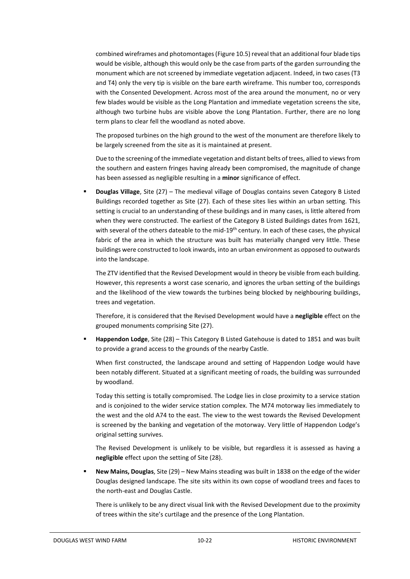combined wireframes and photomontages (Figure 10.5) reveal that an additional four blade tips would be visible, although this would only be the case from parts of the garden surrounding the monument which are not screened by immediate vegetation adjacent. Indeed, in two cases (T3 and T4) only the very tip is visible on the bare earth wireframe. This number too, corresponds with the Consented Development. Across most of the area around the monument, no or very few blades would be visible as the Long Plantation and immediate vegetation screens the site, although two turbine hubs are visible above the Long Plantation. Further, there are no long term plans to clear fell the woodland as noted above.

The proposed turbines on the high ground to the west of the monument are therefore likely to be largely screened from the site as it is maintained at present.

Due to the screening of the immediate vegetation and distant belts of trees, allied to views from the southern and eastern fringes having already been compromised, the magnitude of change has been assessed as negligible resulting in a **minor** significance of effect.

 **Douglas Village**, Site (27) – The medieval village of Douglas contains seven Category B Listed Buildings recorded together as Site (27). Each of these sites lies within an urban setting. This setting is crucial to an understanding of these buildings and in many cases, is little altered from when they were constructed. The earliest of the Category B Listed Buildings dates from 1621, with several of the others dateable to the mid-19<sup>th</sup> century. In each of these cases, the physical fabric of the area in which the structure was built has materially changed very little. These buildings were constructed to look inwards, into an urban environment as opposed to outwards into the landscape.

The ZTV identified that the Revised Development would in theory be visible from each building. However, this represents a worst case scenario, and ignores the urban setting of the buildings and the likelihood of the view towards the turbines being blocked by neighbouring buildings, trees and vegetation.

Therefore, it is considered that the Revised Development would have a **negligible** effect on the grouped monuments comprising Site (27).

 **Happendon Lodge**, Site (28) – This Category B Listed Gatehouse is dated to 1851 and was built to provide a grand access to the grounds of the nearby Castle.

When first constructed, the landscape around and setting of Happendon Lodge would have been notably different. Situated at a significant meeting of roads, the building was surrounded by woodland.

Today this setting is totally compromised. The Lodge lies in close proximity to a service station and is conjoined to the wider service station complex. The M74 motorway lies immediately to the west and the old A74 to the east. The view to the west towards the Revised Development is screened by the banking and vegetation of the motorway. Very little of Happendon Lodge's original setting survives.

The Revised Development is unlikely to be visible, but regardless it is assessed as having a **negligible** effect upon the setting of Site (28).

 **New Mains, Douglas**, Site (29) – New Mains steading was built in 1838 on the edge of the wider Douglas designed landscape. The site sits within its own copse of woodland trees and faces to the north-east and Douglas Castle.

There is unlikely to be any direct visual link with the Revised Development due to the proximity of trees within the site's curtilage and the presence of the Long Plantation.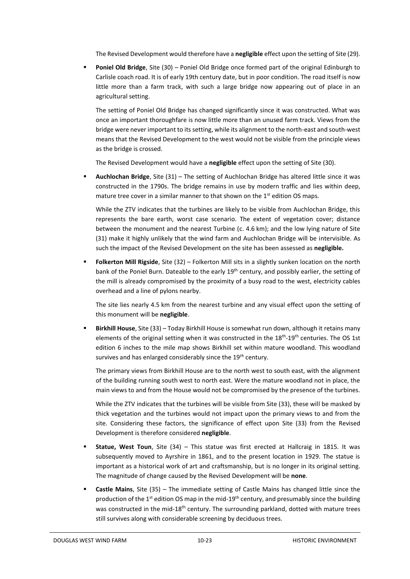The Revised Development would therefore have a **negligible** effect upon the setting of Site (29).

 **Poniel Old Bridge**, Site (30) – Poniel Old Bridge once formed part of the original Edinburgh to Carlisle coach road. It is of early 19th century date, but in poor condition. The road itself is now little more than a farm track, with such a large bridge now appearing out of place in an agricultural setting.

The setting of Poniel Old Bridge has changed significantly since it was constructed. What was once an important thoroughfare is now little more than an unused farm track. Views from the bridge were never important to its setting, while its alignment to the north-east and south-west means that the Revised Development to the west would not be visible from the principle views as the bridge is crossed.

The Revised Development would have a **negligible** effect upon the setting of Site (30).

**Auchlochan Bridge**, Site (31) – The setting of Auchlochan Bridge has altered little since it was constructed in the 1790s. The bridge remains in use by modern traffic and lies within deep, mature tree cover in a similar manner to that shown on the  $1<sup>st</sup>$  edition OS maps.

While the ZTV indicates that the turbines are likely to be visible from Auchlochan Bridge, this represents the bare earth, worst case scenario. The extent of vegetation cover; distance between the monument and the nearest Turbine (c. 4.6 km); and the low lying nature of Site (31) make it highly unlikely that the wind farm and Auchlochan Bridge will be intervisible. As such the impact of the Revised Development on the site has been assessed as **negligible.**

 **Folkerton Mill Rigside**, Site (32) – Folkerton Mill sits in a slightly sunken location on the north bank of the Poniel Burn. Dateable to the early 19<sup>th</sup> century, and possibly earlier, the setting of the mill is already compromised by the proximity of a busy road to the west, electricity cables overhead and a line of pylons nearby.

The site lies nearly 4.5 km from the nearest turbine and any visual effect upon the setting of this monument will be **negligible**.

 **Birkhill House**, Site (33) – Today Birkhill House is somewhat run down, although it retains many elements of the original setting when it was constructed in the 18<sup>th</sup>-19<sup>th</sup> centuries. The OS 1st edition 6 inches to the mile map shows Birkhill set within mature woodland. This woodland survives and has enlarged considerably since the 19*th* century.

The primary views from Birkhill House are to the north west to south east, with the alignment of the building running south west to north east. Were the mature woodland not in place, the main views to and from the House would not be compromised by the presence of the turbines.

While the ZTV indicates that the turbines will be visible from Site (33), these will be masked by thick vegetation and the turbines would not impact upon the primary views to and from the site. Considering these factors, the significance of effect upon Site (33) from the Revised Development is therefore considered **negligible**.

- **Statue, West Toun**, Site (34) This statue was first erected at Hallcraig in 1815. It was subsequently moved to Ayrshire in 1861, and to the present location in 1929. The statue is important as a historical work of art and craftsmanship, but is no longer in its original setting. The magnitude of change caused by the Revised Development will be **none**.
- **Castle Mains**, Site (35) The immediate setting of Castle Mains has changed little since the production of the 1<sup>st</sup> edition OS map in the mid-19<sup>th</sup> century, and presumably since the building was constructed in the mid-18<sup>th</sup> century. The surrounding parkland, dotted with mature trees still survives along with considerable screening by deciduous trees.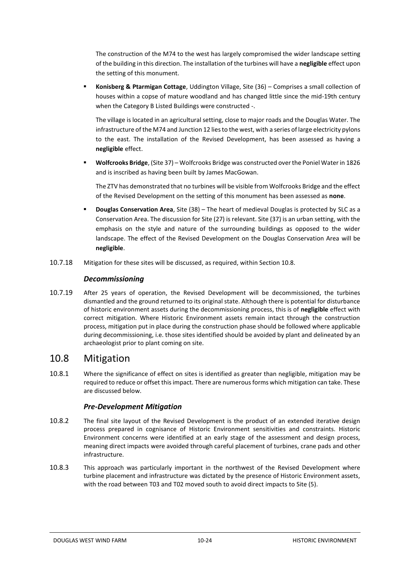The construction of the M74 to the west has largely compromised the wider landscape setting of the building in this direction. The installation of the turbines will have a **negligible** effect upon the setting of this monument.

 **Konisberg & Ptarmigan Cottage**, Uddington Village, Site (36) – Comprises a small collection of houses within a copse of mature woodland and has changed little since the mid-19th century when the Category B Listed Buildings were constructed -.

The village is located in an agricultural setting, close to major roads and the Douglas Water. The infrastructure of the M74 and Junction 12 lies to the west, with a series of large electricity pylons to the east. The installation of the Revised Development, has been assessed as having a **negligible** effect.

 **Wolfcrooks Bridge**, (Site 37) – Wolfcrooks Bridge was constructed over the Poniel Water in 1826 and is inscribed as having been built by James MacGowan.

The ZTV has demonstrated that no turbines will be visible from Wolfcrooks Bridge and the effect of the Revised Development on the setting of this monument has been assessed as **none**.

- **Douglas Conservation Area**, Site (38) The heart of medieval Douglas is protected by SLC as a Conservation Area. The discussion for Site (27) is relevant. Site (37) is an urban setting, with the emphasis on the style and nature of the surrounding buildings as opposed to the wider landscape. The effect of the Revised Development on the Douglas Conservation Area will be **negligible**.
- 10.7.18 Mitigation for these sites will be discussed, as required, within Section 10.8.

### *Decommissioning*

10.7.19 After 25 years of operation, the Revised Development will be decommissioned, the turbines dismantled and the ground returned to its original state. Although there is potential for disturbance of historic environment assets during the decommissioning process, this is of **negligible** effect with correct mitigation. Where Historic Environment assets remain intact through the construction process, mitigation put in place during the construction phase should be followed where applicable during decommissioning, i.e. those sites identified should be avoided by plant and delineated by an archaeologist prior to plant coming on site.

### <span id="page-25-0"></span>10.8 Mitigation

10.8.1 Where the significance of effect on sites is identified as greater than negligible, mitigation may be required to reduce or offset this impact. There are numerous forms which mitigation can take. These are discussed below.

### *Pre-Development Mitigation*

- 10.8.2 The final site layout of the Revised Development is the product of an extended iterative design process prepared in cognisance of Historic Environment sensitivities and constraints. Historic Environment concerns were identified at an early stage of the assessment and design process, meaning direct impacts were avoided through careful placement of turbines, crane pads and other infrastructure.
- 10.8.3 This approach was particularly important in the northwest of the Revised Development where turbine placement and infrastructure was dictated by the presence of Historic Environment assets, with the road between T03 and T02 moved south to avoid direct impacts to Site (5).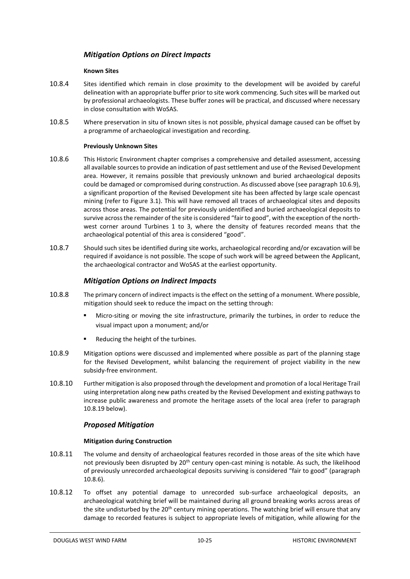### *Mitigation Options on Direct Impacts*

#### **Known Sites**

- 10.8.4 Sites identified which remain in close proximity to the development will be avoided by careful delineation with an appropriate buffer prior to site work commencing. Such sites will be marked out by professional archaeologists. These buffer zones will be practical, and discussed where necessary in close consultation with WoSAS.
- 10.8.5 Where preservation in situ of known sites is not possible, physical damage caused can be offset by a programme of archaeological investigation and recording.

### **Previously Unknown Sites**

- 10.8.6 This Historic Environment chapter comprises a comprehensive and detailed assessment, accessing all available sources to provide an indication of past settlement and use of the Revised Development area. However, it remains possible that previously unknown and buried archaeological deposits could be damaged or compromised during construction. As discussed above (see paragraph 10.6.9), a significant proportion of the Revised Development site has been affected by large scale opencast mining (refer to Figure 3.1). This will have removed all traces of archaeological sites and deposits across those areas. The potential for previously unidentified and buried archaeological deposits to survive across the remainder of the site is considered "fair to good", with the exception of the northwest corner around Turbines 1 to 3, where the density of features recorded means that the archaeological potential of this area is considered "good".
- 10.8.7 Should such sites be identified during site works, archaeological recording and/or excavation will be required if avoidance is not possible. The scope of such work will be agreed between the Applicant, the archaeological contractor and WoSAS at the earliest opportunity.

### *Mitigation Options on Indirect Impacts*

- 10.8.8 The primary concern of indirect impacts is the effect on the setting of a monument. Where possible, mitigation should seek to reduce the impact on the setting through:
	- Micro-siting or moving the site infrastructure, primarily the turbines, in order to reduce the visual impact upon a monument; and/or
	- Reducing the height of the turbines.
- 10.8.9 Mitigation options were discussed and implemented where possible as part of the planning stage for the Revised Development, whilst balancing the requirement of project viability in the new subsidy-free environment.
- 10.8.10 Further mitigation is also proposed through the development and promotion of a local Heritage Trail using interpretation along new paths created by the Revised Development and existing pathways to increase public awareness and promote the heritage assets of the local area (refer to paragraph 10.8.19 below).

### *Proposed Mitigation*

### **Mitigation during Construction**

- 10.8.11 The volume and density of archaeological features recorded in those areas of the site which have not previously been disrupted by 20<sup>th</sup> century open-cast mining is notable. As such, the likelihood of previously unrecorded archaeological deposits surviving is considered "fair to good" (paragraph 10.8.6).
- 10.8.12 To offset any potential damage to unrecorded sub-surface archaeological deposits, an archaeological watching brief will be maintained during all ground breaking works across areas of the site undisturbed by the  $20<sup>th</sup>$  century mining operations. The watching brief will ensure that any damage to recorded features is subject to appropriate levels of mitigation, while allowing for the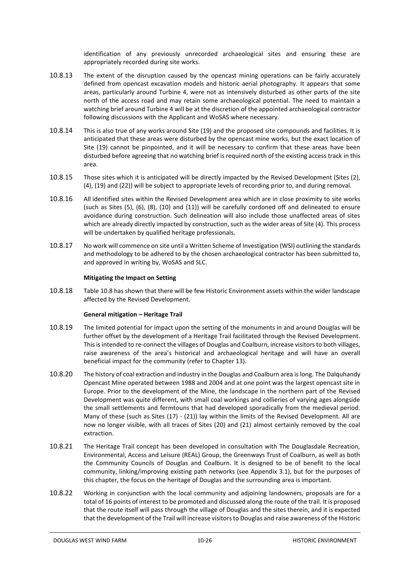identification of any previously unrecorded archaeological sites and ensuring these are appropriately recorded during site works.

- 10.8.13 The extent of the disruption caused by the opencast mining operations can be fairly accurately defined from opencast excavation models and historic aerial photography. It appears that some areas, particularly around Turbine 4, were not as intensively disturbed as other parts of the site north of the access road and may retain some archaeological potential. The need to maintain a watching brief around Turbine 4 will be at the discretion of the appointed archaeological contractor following discussions with the Applicant and WoSAS where necessary.
- 10.8.14 This is also true of any works around Site (19) and the proposed site compounds and facilities. It is anticipated that these areas were disturbed by the opencast mine works, but the exact location of Site (19) cannot be pinpointed, and it will be necessary to confirm that these areas have been disturbed before agreeing that no watching brief is required north of the existing access track in this area.
- 10.8.15 Those sites which it is anticipated will be directly impacted by the Revised Development (Sites (2), (4), (19) and (22)) will be subject to appropriate levels of recording prior to, and during removal.
- 10.8.16 All identified sites within the Revised Development area which are in close proximity to site works (such as Sites (5), (6), (8), (10) and (11)) will be carefully cordoned off and delineated to ensure avoidance during construction. Such delineation will also include those unaffected areas of sites which are already directly impacted by construction, such as the wider areas of Site (4). This process will be undertaken by qualified heritage professionals.
- 10.8.17 No work will commence on site until a Written Scheme of Investigation (WSI) outlining the standards and methodology to be adhered to by the chosen archaeological contractor has been submitted to, and approved in writing by, WoSAS and SLC.

### **Mitigating the Impact on Setting**

10.8.18 Table 10.8 has shown that there will be few Historic Environment assets within the wider landscape affected by the Revised Development.

### **General mitigation – Heritage Trail**

- 10.8.19 The limited potential for impact upon the setting of the monuments in and around Douglas will be further offset by the development of a Heritage Trail facilitated through the Revised Development. This is intended to re-connect the villages of Douglas and Coalburn, increase visitors to both villages, raise awareness of the area's historical and archaeological heritage and will have an overall beneficial impact for the community (refer to Chapter 13).
- 10.8.20 The history of coal extraction and industry in the Douglas and Coalburn area is long. The Dalquhandy Opencast Mine operated between 1988 and 2004 and at one point was the largest opencast site in Europe. Prior to the development of the Mine, the landscape in the northern part of the Revised Development was quite different, with small coal workings and collieries of varying ages alongside the small settlements and fermtouns that had developed sporadically from the medieval period. Many of these (such as Sites (17) - (21)) lay within the limits of the Revised Development. All are now no longer visible, with all traces of Sites (20) and (21) almost certainly removed by the coal extraction.
- 10.8.21 The Heritage Trail concept has been developed in consultation with The Douglasdale Recreation, Environmental, Access and Leisure (REAL) Group, the Greenways Trust of Coalburn, as well as both the Community Councils of Douglas and Coalburn. It is designed to be of benefit to the local community, linking/improving existing path networks (see Appendix 3.1), but for the purposes of this chapter, the focus on the heritage of Douglas and the surrounding area is important.
- 10.8.22 Working in conjunction with the local community and adjoining landowners, proposals are for a total of 16 points of interest to be promoted and discussed along the route of the trail. It is proposed that the route itself will pass through the village of Douglas and the sites therein, and it is expected that the development of the Trail will increase visitors to Douglas and raise awareness of the Historic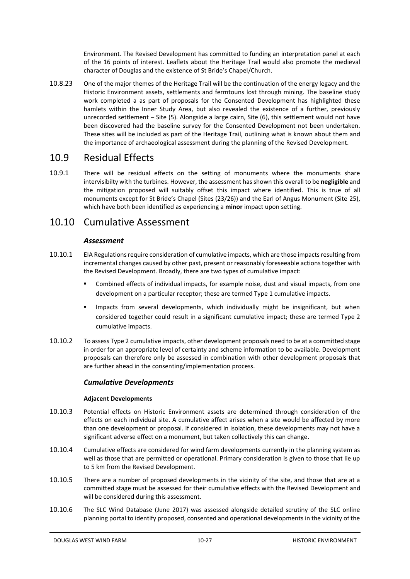Environment. The Revised Development has committed to funding an interpretation panel at each of the 16 points of interest. Leaflets about the Heritage Trail would also promote the medieval character of Douglas and the existence of St Bride's Chapel/Church.

10.8.23 One of the major themes of the Heritage Trail will be the continuation of the energy legacy and the Historic Environment assets, settlements and fermtouns lost through mining. The baseline study work completed a as part of proposals for the Consented Development has highlighted these hamlets within the Inner Study Area, but also revealed the existence of a further, previously unrecorded settlement – Site (5). Alongside a large cairn, Site (6), this settlement would not have been discovered had the baseline survey for the Consented Development not been undertaken. These sites will be included as part of the Heritage Trail, outlining what is known about them and the importance of archaeological assessment during the planning of the Revised Development.

### <span id="page-28-0"></span>10.9 Residual Effects

10.9.1 There will be residual effects on the setting of monuments where the monuments share intervisibilty with the turbines. However, the assessment has shown this overall to be **negligible** and the mitigation proposed will suitably offset this impact where identified. This is true of all monuments except for St Bride's Chapel (Sites (23/26)) and the Earl of Angus Monument (Site 25), which have both been identified as experiencing a **minor** impact upon setting.

### <span id="page-28-1"></span>10.10 Cumulative Assessment

### *Assessment*

- 10.10.1 EIA Regulations require consideration of cumulative impacts, which are those impacts resulting from incremental changes caused by other past, present or reasonably foreseeable actions together with the Revised Development. Broadly, there are two types of cumulative impact:
	- Combined effects of individual impacts, for example noise, dust and visual impacts, from one development on a particular receptor; these are termed Type 1 cumulative impacts.
	- **IMPACTS** from several developments, which individually might be insignificant, but when considered together could result in a significant cumulative impact; these are termed Type 2 cumulative impacts.
- 10.10.2 To assess Type 2 cumulative impacts, other development proposals need to be at a committed stage in order for an appropriate level of certainty and scheme information to be available. Development proposals can therefore only be assessed in combination with other development proposals that are further ahead in the consenting/implementation process.

### *Cumulative Developments*

### **Adjacent Developments**

- 10.10.3 Potential effects on Historic Environment assets are determined through consideration of the effects on each individual site. A cumulative affect arises when a site would be affected by more than one development or proposal. If considered in isolation, these developments may not have a significant adverse effect on a monument, but taken collectively this can change.
- 10.10.4 Cumulative effects are considered for wind farm developments currently in the planning system as well as those that are permitted or operational. Primary consideration is given to those that lie up to 5 km from the Revised Development.
- 10.10.5 There are a number of proposed developments in the vicinity of the site, and those that are at a committed stage must be assessed for their cumulative effects with the Revised Development and will be considered during this assessment.
- 10.10.6 The SLC Wind Database (June 2017) was assessed alongside detailed scrutiny of the SLC online planning portal to identify proposed, consented and operational developments in the vicinity of the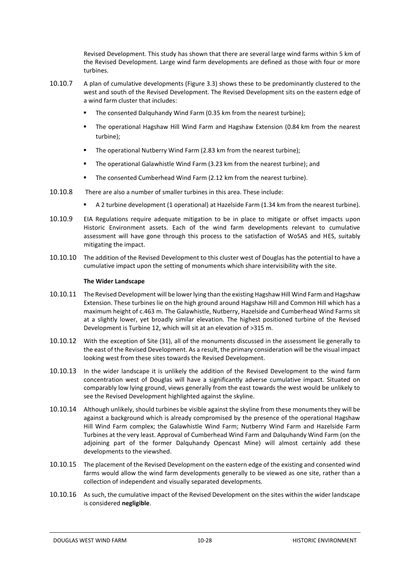Revised Development. This study has shown that there are several large wind farms within 5 km of the Revised Development. Large wind farm developments are defined as those with four or more turbines.

- 10.10.7 A plan of cumulative developments (Figure 3.3) shows these to be predominantly clustered to the west and south of the Revised Development. The Revised Development sits on the eastern edge of a wind farm cluster that includes:
	- The consented Dalquhandy Wind Farm (0.35 km from the nearest turbine);
	- The operational Hagshaw Hill Wind Farm and Hagshaw Extension (0.84 km from the nearest turbine);
	- The operational Nutberry Wind Farm (2.83 km from the nearest turbine);
	- The operational Galawhistle Wind Farm (3.23 km from the nearest turbine); and
	- The consented Cumberhead Wind Farm (2.12 km from the nearest turbine).
- 10.10.8 There are also a number of smaller turbines in this area. These include:
	- A 2 turbine development (1 operational) at Hazelside Farm (1.34 km from the nearest turbine).
- 10.10.9 EIA Regulations require adequate mitigation to be in place to mitigate or offset impacts upon Historic Environment assets. Each of the wind farm developments relevant to cumulative assessment will have gone through this process to the satisfaction of WoSAS and HES, suitably mitigating the impact.
- 10.10.10 The addition of the Revised Development to this cluster west of Douglas has the potential to have a cumulative impact upon the setting of monuments which share intervisibility with the site.

#### **The Wider Landscape**

- 10.10.11 The Revised Development will be lower lying than the existing Hagshaw Hill Wind Farm and Hagshaw Extension. These turbines lie on the high ground around Hagshaw Hill and Common Hill which has a maximum height of c.463 m. The Galawhistle, Nutberry, Hazelside and Cumberhead Wind Farms sit at a slightly lower, yet broadly similar elevation. The highest positioned turbine of the Revised Development is Turbine 12, which will sit at an elevation of >315 m.
- 10.10.12 With the exception of Site (31), all of the monuments discussed in the assessment lie generally to the east of the Revised Development. As a result, the primary consideration will be the visual impact looking west from these sites towards the Revised Development.
- 10.10.13 In the wider landscape it is unlikely the addition of the Revised Development to the wind farm concentration west of Douglas will have a significantly adverse cumulative impact. Situated on comparably low lying ground, views generally from the east towards the west would be unlikely to see the Revised Development highlighted against the skyline.
- 10.10.14 Although unlikely, should turbines be visible against the skyline from these monuments they will be against a background which is already compromised by the presence of the operational Hagshaw Hill Wind Farm complex; the Galawhistle Wind Farm; Nutberry Wind Farm and Hazelside Farm Turbines at the very least. Approval of Cumberhead Wind Farm and Dalquhandy Wind Farm (on the adjoining part of the former Dalquhandy Opencast Mine) will almost certainly add these developments to the viewshed.
- 10.10.15 The placement of the Revised Development on the eastern edge of the existing and consented wind farms would allow the wind farm developments generally to be viewed as one site, rather than a collection of independent and visually separated developments.
- 10.10.16 As such, the cumulative impact of the Revised Development on the sites within the wider landscape is considered **negligible**.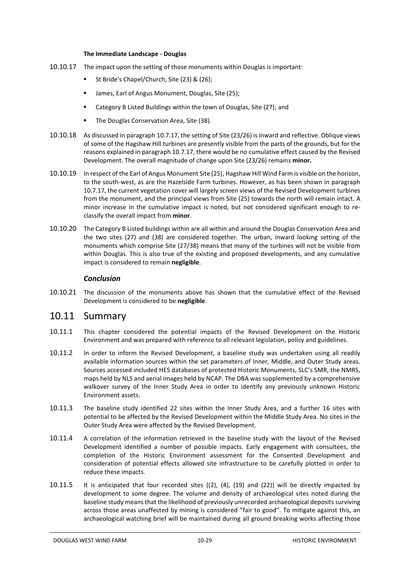#### **The Immediate Landscape - Douglas**

- 10.10.17 The impact upon the setting of those monuments within Douglas is important:
	- St Bride's Chapel/Church, Site (23) & (26);
	- James, Earl of Angus Monument, Douglas, Site (25);
	- Category B Listed Buildings within the town of Douglas, Site (27); and
	- **The Douglas Conservation Area, Site (38).**
- 10.10.18 As discussed in paragraph 10.7.17, the setting of Site (23/26) is inward and reflective. Oblique views of some of the Hagshaw Hill turbines are presently visible from the parts of the grounds, but for the reasons explained in paragraph 10.7.17, there would be no cumulative effect caused by the Revised Development. The overall magnitude of change upon Site (23/26) remains **minor.**
- 10.10.19 In respect of the Earl of Angus Monument Site (25), Hagshaw Hill Wind Farm is visible on the horizon, to the south-west, as are the Hazelside Farm turbines. However, as has been shown in paragraph 10.7.17, the current vegetation cover will largely screen views of the Revised Development turbines from the monument, and the principal views from Site (25) towards the north will remain intact. A minor increase in the cumulative impact is noted, but not considered significant enough to reclassify the overall impact from **minor**.
- 10.10.20 The Category B Listed buildings within are all within and around the Douglas Conservation Area and the two sites (27) and (38) are considered together. The urban, inward looking setting of the monuments which comprise Site (27/38) means that many of the turbines will not be visible from within Douglas. This is also true of the existing and proposed developments, and any cumulative impact is considered to remain **negligible**.

### *Conclusion*

10.10.21 The discussion of the monuments above has shown that the cumulative effect of the Revised Development is considered to be **negligible**.

### <span id="page-30-0"></span>10.11 Summary

- 10.11.1 This chapter considered the potential impacts of the Revised Development on the Historic Environment and was prepared with reference to all relevant legislation, policy and guidelines.
- 10.11.2 In order to inform the Revised Development, a baseline study was undertaken using all readily available information sources within the set parameters of Inner, Middle, and Outer Study areas. Sources accessed included HES databases of protected Historic Monuments, SLC's SMR, the NMRS, maps held by NLS and aerial images held by NCAP. The DBA was supplemented by a comprehensive walkover survey of the Inner Study Area in order to identify any previously unknown Historic Environment assets.
- 10.11.3 The baseline study identified 22 sites within the Inner Study Area, and a further 16 sites with potential to be affected by the Revised Development within the Middle Study Area. No sites in the Outer Study Area were affected by the Revised Development.
- 10.11.4 A correlation of the information retrieved in the baseline study with the layout of the Revised Development identified a number of possible impacts. Early engagement with consultees, the completion of the Historic Environment assessment for the Consented Development and consideration of potential effects allowed site infrastructure to be carefully plotted in order to reduce these impacts.
- 10.11.5 It is anticipated that four recorded sites ((2), (4), (19) and (22)) will be directly impacted by development to some degree. The volume and density of archaeological sites noted during the baseline study means that the likelihood of previously unrecorded archaeological deposits surviving across those areas unaffected by mining is considered "fair to good". To mitigate against this, an archaeological watching brief will be maintained during all ground breaking works affecting those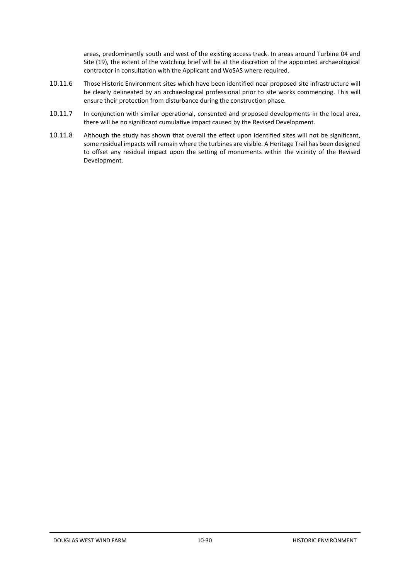areas, predominantly south and west of the existing access track. In areas around Turbine 04 and Site (19), the extent of the watching brief will be at the discretion of the appointed archaeological contractor in consultation with the Applicant and WoSAS where required.

- 10.11.6 Those Historic Environment sites which have been identified near proposed site infrastructure will be clearly delineated by an archaeological professional prior to site works commencing. This will ensure their protection from disturbance during the construction phase.
- 10.11.7 In conjunction with similar operational, consented and proposed developments in the local area, there will be no significant cumulative impact caused by the Revised Development.
- 10.11.8 Although the study has shown that overall the effect upon identified sites will not be significant, some residual impacts will remain where the turbines are visible. A Heritage Trail has been designed to offset any residual impact upon the setting of monuments within the vicinity of the Revised Development.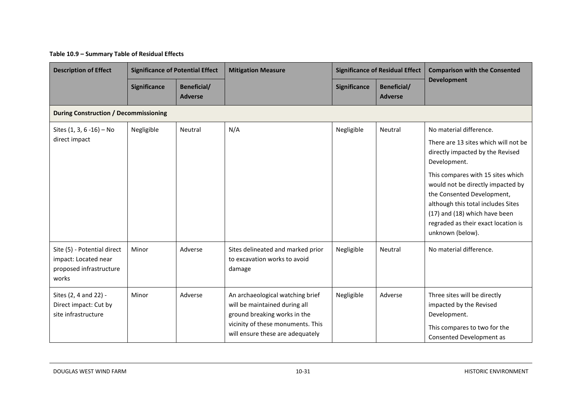### **Table 10.9 – Summary Table of Residual Effects**

| <b>Description of Effect</b>                                                            | <b>Significance of Potential Effect</b>      |                                      | <b>Mitigation Measure</b>                                                                                                                                                  | <b>Significance of Residual Effect</b> |                                      | <b>Comparison with the Consented</b>                                                                                                                                                                                                                                                                                                                          |  |  |
|-----------------------------------------------------------------------------------------|----------------------------------------------|--------------------------------------|----------------------------------------------------------------------------------------------------------------------------------------------------------------------------|----------------------------------------|--------------------------------------|---------------------------------------------------------------------------------------------------------------------------------------------------------------------------------------------------------------------------------------------------------------------------------------------------------------------------------------------------------------|--|--|
|                                                                                         | <b>Significance</b>                          | <b>Beneficial/</b><br><b>Adverse</b> |                                                                                                                                                                            | <b>Significance</b>                    | <b>Beneficial/</b><br><b>Adverse</b> | <b>Development</b>                                                                                                                                                                                                                                                                                                                                            |  |  |
|                                                                                         | <b>During Construction / Decommissioning</b> |                                      |                                                                                                                                                                            |                                        |                                      |                                                                                                                                                                                                                                                                                                                                                               |  |  |
| Sites $(1, 3, 6 -16) - No$<br>direct impact                                             | Negligible                                   | Neutral                              | N/A                                                                                                                                                                        | Negligible                             | Neutral                              | No material difference.<br>There are 13 sites which will not be<br>directly impacted by the Revised<br>Development.<br>This compares with 15 sites which<br>would not be directly impacted by<br>the Consented Development,<br>although this total includes Sites<br>(17) and (18) which have been<br>regraded as their exact location is<br>unknown (below). |  |  |
| Site (5) - Potential direct<br>impact: Located near<br>proposed infrastructure<br>works | Minor                                        | Adverse                              | Sites delineated and marked prior<br>to excavation works to avoid<br>damage                                                                                                | Negligible                             | Neutral                              | No material difference.                                                                                                                                                                                                                                                                                                                                       |  |  |
| Sites (2, 4 and 22) -<br>Direct impact: Cut by<br>site infrastructure                   | Minor                                        | Adverse                              | An archaeological watching brief<br>will be maintained during all<br>ground breaking works in the<br>vicinity of these monuments. This<br>will ensure these are adequately | Negligible                             | Adverse                              | Three sites will be directly<br>impacted by the Revised<br>Development.<br>This compares to two for the<br><b>Consented Development as</b>                                                                                                                                                                                                                    |  |  |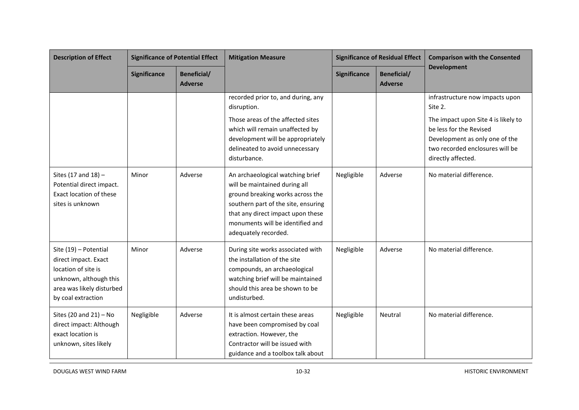| <b>Description of Effect</b>                                                                                                                      | <b>Significance of Potential Effect</b> |                                      | <b>Mitigation Measure</b>                                                                                                                                                                                                                     | <b>Significance of Residual Effect</b> |                                      | <b>Comparison with the Consented</b>                                                                                                                                                                    |
|---------------------------------------------------------------------------------------------------------------------------------------------------|-----------------------------------------|--------------------------------------|-----------------------------------------------------------------------------------------------------------------------------------------------------------------------------------------------------------------------------------------------|----------------------------------------|--------------------------------------|---------------------------------------------------------------------------------------------------------------------------------------------------------------------------------------------------------|
|                                                                                                                                                   | <b>Significance</b>                     | <b>Beneficial/</b><br><b>Adverse</b> |                                                                                                                                                                                                                                               | Significance                           | <b>Beneficial/</b><br><b>Adverse</b> | <b>Development</b>                                                                                                                                                                                      |
|                                                                                                                                                   |                                         |                                      | recorded prior to, and during, any<br>disruption.<br>Those areas of the affected sites<br>which will remain unaffected by<br>development will be appropriately<br>delineated to avoid unnecessary<br>disturbance.                             |                                        |                                      | infrastructure now impacts upon<br>Site 2.<br>The impact upon Site 4 is likely to<br>be less for the Revised<br>Development as only one of the<br>two recorded enclosures will be<br>directly affected. |
| Sites (17 and 18) -<br>Potential direct impact.<br>Exact location of these<br>sites is unknown                                                    | Minor                                   | Adverse                              | An archaeological watching brief<br>will be maintained during all<br>ground breaking works across the<br>southern part of the site, ensuring<br>that any direct impact upon these<br>monuments will be identified and<br>adequately recorded. | Negligible                             | Adverse                              | No material difference.                                                                                                                                                                                 |
| Site (19) - Potential<br>direct impact. Exact<br>location of site is<br>unknown, although this<br>area was likely disturbed<br>by coal extraction | Minor                                   | Adverse                              | During site works associated with<br>the installation of the site<br>compounds, an archaeological<br>watching brief will be maintained<br>should this area be shown to be<br>undisturbed.                                                     | Negligible                             | Adverse                              | No material difference.                                                                                                                                                                                 |
| Sites (20 and $21$ ) – No<br>direct impact: Although<br>exact location is<br>unknown, sites likely                                                | Negligible                              | Adverse                              | It is almost certain these areas<br>have been compromised by coal<br>extraction. However, the<br>Contractor will be issued with<br>guidance and a toolbox talk about                                                                          | Negligible                             | Neutral                              | No material difference.                                                                                                                                                                                 |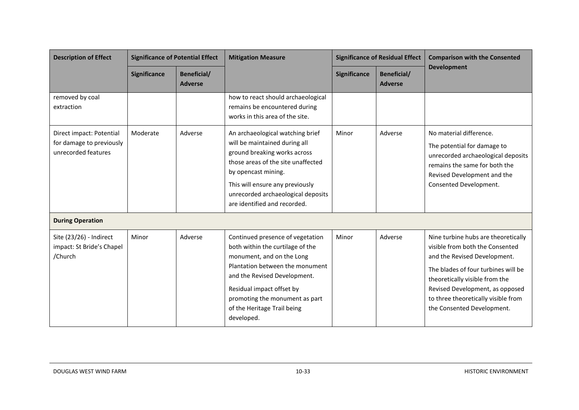| <b>Description of Effect</b>                                                | <b>Significance of Potential Effect</b> |                                      | <b>Mitigation Measure</b>                                                                                                                                                                                                                                                        | <b>Significance of Residual Effect</b> |                                      | <b>Comparison with the Consented</b>                                                                                                                                                                                                                                                    |
|-----------------------------------------------------------------------------|-----------------------------------------|--------------------------------------|----------------------------------------------------------------------------------------------------------------------------------------------------------------------------------------------------------------------------------------------------------------------------------|----------------------------------------|--------------------------------------|-----------------------------------------------------------------------------------------------------------------------------------------------------------------------------------------------------------------------------------------------------------------------------------------|
|                                                                             | <b>Significance</b>                     | <b>Beneficial/</b><br><b>Adverse</b> |                                                                                                                                                                                                                                                                                  | <b>Significance</b>                    | <b>Beneficial/</b><br><b>Adverse</b> | <b>Development</b>                                                                                                                                                                                                                                                                      |
| removed by coal<br>extraction                                               |                                         |                                      | how to react should archaeological<br>remains be encountered during<br>works in this area of the site.                                                                                                                                                                           |                                        |                                      |                                                                                                                                                                                                                                                                                         |
| Direct impact: Potential<br>for damage to previously<br>unrecorded features | Moderate                                | Adverse                              | An archaeological watching brief<br>will be maintained during all<br>ground breaking works across<br>those areas of the site unaffected<br>by opencast mining.<br>This will ensure any previously<br>unrecorded archaeological deposits<br>are identified and recorded.          | Minor                                  | Adverse                              | No material difference.<br>The potential for damage to<br>unrecorded archaeological deposits<br>remains the same for both the<br>Revised Development and the<br>Consented Development.                                                                                                  |
| <b>During Operation</b>                                                     |                                         |                                      |                                                                                                                                                                                                                                                                                  |                                        |                                      |                                                                                                                                                                                                                                                                                         |
| Site (23/26) - Indirect<br>impact: St Bride's Chapel<br>/Church             | Minor                                   | Adverse                              | Continued presence of vegetation<br>both within the curtilage of the<br>monument, and on the Long<br>Plantation between the monument<br>and the Revised Development.<br>Residual impact offset by<br>promoting the monument as part<br>of the Heritage Trail being<br>developed. | Minor                                  | Adverse                              | Nine turbine hubs are theoretically<br>visible from both the Consented<br>and the Revised Development.<br>The blades of four turbines will be<br>theoretically visible from the<br>Revised Development, as opposed<br>to three theoretically visible from<br>the Consented Development. |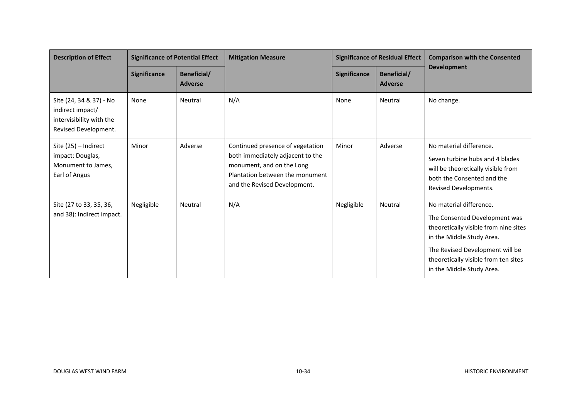| <b>Description of Effect</b>                                                                    | <b>Significance of Potential Effect</b> |                                      | <b>Mitigation Measure</b>                                                                                                                                            | <b>Significance of Residual Effect</b> |                                      | <b>Comparison with the Consented</b>                                                                                                                                                                                                   |
|-------------------------------------------------------------------------------------------------|-----------------------------------------|--------------------------------------|----------------------------------------------------------------------------------------------------------------------------------------------------------------------|----------------------------------------|--------------------------------------|----------------------------------------------------------------------------------------------------------------------------------------------------------------------------------------------------------------------------------------|
|                                                                                                 | <b>Significance</b>                     | <b>Beneficial/</b><br><b>Adverse</b> |                                                                                                                                                                      | <b>Significance</b>                    | <b>Beneficial/</b><br><b>Adverse</b> | <b>Development</b>                                                                                                                                                                                                                     |
| Site (24, 34 & 37) - No<br>indirect impact/<br>intervisibility with the<br>Revised Development. | None                                    | Neutral                              | N/A                                                                                                                                                                  | None                                   | Neutral                              | No change.                                                                                                                                                                                                                             |
| Site (25) - Indirect<br>impact: Douglas,<br>Monument to James,<br>Earl of Angus                 | Minor                                   | Adverse                              | Continued presence of vegetation<br>both immediately adjacent to the<br>monument, and on the Long<br>Plantation between the monument<br>and the Revised Development. | Minor                                  | Adverse                              | No material difference.<br>Seven turbine hubs and 4 blades<br>will be theoretically visible from<br>both the Consented and the<br>Revised Developments.                                                                                |
| Site (27 to 33, 35, 36,<br>and 38): Indirect impact.                                            | Negligible                              | Neutral                              | N/A                                                                                                                                                                  | Negligible                             | Neutral                              | No material difference.<br>The Consented Development was<br>theoretically visible from nine sites<br>in the Middle Study Area.<br>The Revised Development will be<br>theoretically visible from ten sites<br>in the Middle Study Area. |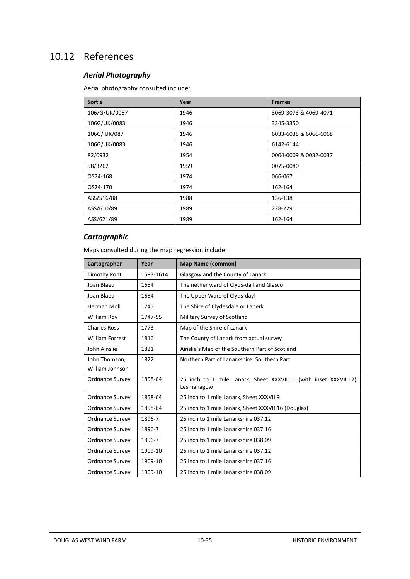# <span id="page-36-0"></span>10.12 References

### *Aerial Photography*

Aerial photography consulted include:

| <b>Sortie</b> | Year | <b>Frames</b>         |
|---------------|------|-----------------------|
| 106/G/UK/0087 | 1946 | 3069-3073 & 4069-4071 |
| 106G/UK/0083  | 1946 | 3345-3350             |
| 106G/UK/087   | 1946 | 6033-6035 & 6066-6068 |
| 106G/UK/0083  | 1946 | 6142-6144             |
| 82/0932       | 1954 | 0004-0009 & 0032-0037 |
| 58/3262       | 1959 | 0075-0080             |
| OS74-168      | 1974 | 066-067               |
| OS74-170      | 1974 | 162-164               |
| ASS/516/88    | 1988 | 136-138               |
| ASS/610/89    | 1989 | 228-229               |
| ASS/621/89    | 1989 | 162-164               |

### *Cartographic*

Maps consulted during the map regression include:

| Cartographer           | Year      | <b>Map Name (common)</b>                                                       |
|------------------------|-----------|--------------------------------------------------------------------------------|
| <b>Timothy Pont</b>    | 1583-1614 | Glasgow and the County of Lanark                                               |
| Joan Blaeu             | 1654      | The nether ward of Clyds-dail and Glasco                                       |
| Joan Blaeu             | 1654      | The Upper Ward of Clyds-dayl                                                   |
| Herman Moll            | 1745      | The Shire of Clydesdale or Lanerk                                              |
| <b>William Roy</b>     | 1747-55   | Military Survey of Scotland                                                    |
| <b>Charles Ross</b>    | 1773      | Map of the Shire of Lanark                                                     |
| <b>William Forrest</b> | 1816      | The County of Lanark from actual survey                                        |
| John Ainslie           | 1821      | Ainslie's Map of the Southern Part of Scotland                                 |
| John Thomson,          | 1822      | Northern Part of Lanarkshire, Southern Part                                    |
| William Johnson        |           |                                                                                |
| <b>Ordnance Survey</b> | 1858-64   | 25 inch to 1 mile Lanark, Sheet XXXVII.11 (with inset XXXVII.12)<br>Lesmahagow |
| <b>Ordnance Survey</b> | 1858-64   | 25 inch to 1 mile Lanark, Sheet XXXVII.9                                       |
| <b>Ordnance Survey</b> | 1858-64   | 25 inch to 1 mile Lanark, Sheet XXXVII.16 (Douglas)                            |
| <b>Ordnance Survey</b> | 1896-7    | 25 inch to 1 mile Lanarkshire 037.12                                           |
| <b>Ordnance Survey</b> | 1896-7    | 25 inch to 1 mile Lanarkshire 037.16                                           |
| <b>Ordnance Survey</b> | 1896-7    | 25 inch to 1 mile Lanarkshire 038.09                                           |
| <b>Ordnance Survey</b> | 1909-10   | 25 inch to 1 mile Lanarkshire 037.12                                           |
| <b>Ordnance Survey</b> | 1909-10   | 25 inch to 1 mile Lanarkshire 037.16                                           |
| <b>Ordnance Survey</b> | 1909-10   | 25 inch to 1 mile Lanarkshire 038.09                                           |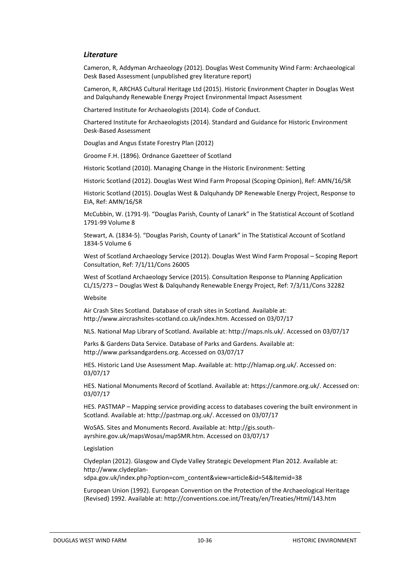### *Literature*

Cameron, R, Addyman Archaeology (2012). Douglas West Community Wind Farm: Archaeological Desk Based Assessment (unpublished grey literature report)

Cameron, R, ARCHAS Cultural Heritage Ltd (2015). Historic Environment Chapter in Douglas West and Dalquhandy Renewable Energy Project Environmental Impact Assessment

Chartered Institute for Archaeologists (2014). Code of Conduct.

Chartered Institute for Archaeologists (2014). Standard and Guidance for Historic Environment Desk-Based Assessment

Douglas and Angus Estate Forestry Plan (2012)

Groome F.H. (1896). Ordnance Gazetteer of Scotland

Historic Scotland (2010). Managing Change in the Historic Environment: Setting

Historic Scotland (2012). Douglas West Wind Farm Proposal (Scoping Opinion), Ref: AMN/16/SR

Historic Scotland (2015). Douglas West & Dalquhandy DP Renewable Energy Project, Response to EIA, Ref: AMN/16/SR

McCubbin, W. (1791-9). "Douglas Parish, County of Lanark" in The Statistical Account of Scotland 1791-99 Volume 8

Stewart, A. (1834-5). "Douglas Parish, County of Lanark" in The Statistical Account of Scotland 1834-5 Volume 6

West of Scotland Archaeology Service (2012). Douglas West Wind Farm Proposal – Scoping Report Consultation, Ref: 7/1/11/Cons 26005

West of Scotland Archaeology Service (2015). Consultation Response to Planning Application CL/15/273 – Douglas West & Dalquhandy Renewable Energy Project, Ref: 7/3/11/Cons 32282

#### Website

Air Crash Sites Scotland. Database of crash sites in Scotland. Available at: http://www.aircrashsites-scotland.co.uk/index.htm. Accessed on 03/07/17

NLS. National Map Library of Scotland. Available at: http://maps.nls.uk/. Accessed on 03/07/17

Parks & Gardens Data Service. Database of Parks and Gardens. Available at: http://www.parksandgardens.org. Accessed on 03/07/17

HES. Historic Land Use Assessment Map. Available at: http://hlamap.org.uk/. Accessed on: 03/07/17

HES. National Monuments Record of Scotland. Available at: https://canmore.org.uk/. Accessed on: 03/07/17

HES. PASTMAP – Mapping service providing access to databases covering the built environment in Scotland. Available at: http://pastmap.org.uk/. Accessed on 03/07/17

WoSAS. Sites and Monuments Record. Available at: http://gis.southayrshire.gov.uk/mapsWosas/mapSMR.htm. Accessed on 03/07/17

Legislation

Clydeplan (2012). Glasgow and Clyde Valley Strategic Development Plan 2012. Available at: http://www.clydeplan-

sdpa.gov.uk/index.php?option=com\_content&view=article&id=54&Itemid=38

European Union (1992). European Convention on the Protection of the Archaeological Heritage (Revised) 1992. Available at: http://conventions.coe.int/Treaty/en/Treaties/Html/143.htm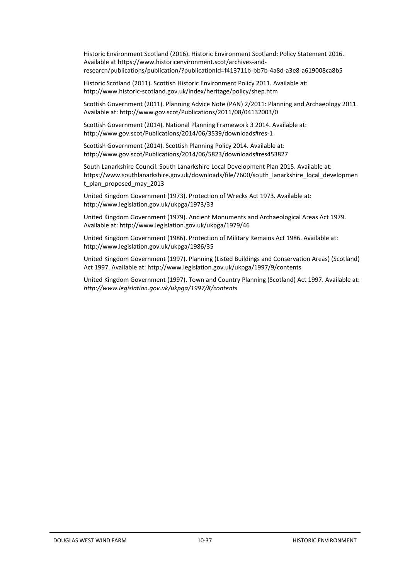Historic Environment Scotland (2016). Historic Environment Scotland: Policy Statement 2016. Available at https://www.historicenvironment.scot/archives-andresearch/publications/publication/?publicationId=f413711b-bb7b-4a8d-a3e8-a619008ca8b5

Historic Scotland (2011). Scottish Historic Environment Policy 2011. Available at: http://www.historic-scotland.gov.uk/index/heritage/policy/shep.htm

Scottish Government (2011). Planning Advice Note (PAN) 2/2011: Planning and Archaeology 2011. Available at: http://www.gov.scot/Publications/2011/08/04132003/0

Scottish Government (2014). National Planning Framework 3 2014. Available at: http://www.gov.scot/Publications/2014/06/3539/downloads#res-1

Scottish Government (2014). Scottish Planning Policy 2014. Available at: http://www.gov.scot/Publications/2014/06/5823/downloads#res453827

South Lanarkshire Council. South Lanarkshire Local Development Plan 2015. Available at: https://www.southlanarkshire.gov.uk/downloads/file/7600/south\_lanarkshire\_local\_developmen t\_plan\_proposed\_may\_2013

United Kingdom Government (1973). Protection of Wrecks Act 1973. Available at: http://www.legislation.gov.uk/ukpga/1973/33

United Kingdom Government (1979). Ancient Monuments and Archaeological Areas Act 1979. Available at: http://www.legislation.gov.uk/ukpga/1979/46

United Kingdom Government (1986). Protection of Military Remains Act 1986. Available at: http://www.legislation.gov.uk/ukpga/1986/35

United Kingdom Government (1997). Planning (Listed Buildings and Conservation Areas) (Scotland) Act 1997. Available at: http://www.legislation.gov.uk/ukpga/1997/9/contents

United Kingdom Government (1997). Town and Country Planning (Scotland) Act 1997. Available at: *http://www.legislation.gov.uk/ukpga/1997/8/contents*